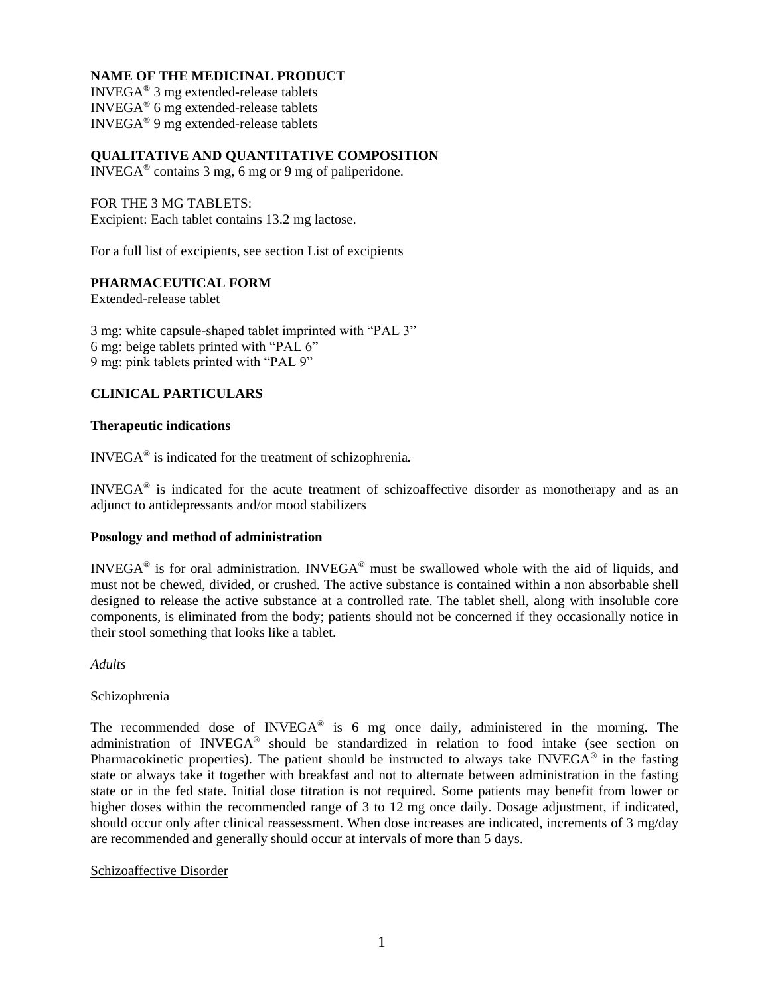# **NAME OF THE MEDICINAL PRODUCT**

INVEGA® 3 mg extended-release tablets  $INVEGA^{\circledast}$  6 mg extended-release tablets  $INVEGA^{\circledast}$  9 mg extended-release tablets

**QUALITATIVE AND QUANTITATIVE COMPOSITION**

INVEGA® contains 3 mg, 6 mg or 9 mg of paliperidone.

FOR THE 3 MG TABLETS: Excipient: Each tablet contains 13.2 mg lactose.

For a full list of excipients, see section List of excipients

# **PHARMACEUTICAL FORM**

Extended-release tablet

3 mg: white capsule-shaped tablet imprinted with "PAL 3" 6 mg: beige tablets printed with "PAL 6" 9 mg: pink tablets printed with "PAL 9"

# **CLINICAL PARTICULARS**

# **Therapeutic indications**

INVEGA® is indicated for the treatment of schizophrenia*.*

INVEGA® is indicated for the acute treatment of schizoaffective disorder as monotherapy and as an adjunct to antidepressants and/or mood stabilizers

## **Posology and method of administration**

INVEGA<sup>®</sup> is for oral administration. INVEGA<sup>®</sup> must be swallowed whole with the aid of liquids, and must not be chewed, divided, or crushed. The active substance is contained within a non absorbable shell designed to release the active substance at a controlled rate. The tablet shell, along with insoluble core components, is eliminated from the body; patients should not be concerned if they occasionally notice in their stool something that looks like a tablet.

*Adults*

# Schizophrenia

The recommended dose of  $INVEGA^{\circledast}$  is 6 mg once daily, administered in the morning. The administration of INVEGA<sup>®</sup> should be standardized in relation to food intake (see section on Pharmacokinetic properties). The patient should be instructed to always take INVEGA<sup>®</sup> in the fasting state or always take it together with breakfast and not to alternate between administration in the fasting state or in the fed state. Initial dose titration is not required. Some patients may benefit from lower or higher doses within the recommended range of 3 to 12 mg once daily. Dosage adjustment, if indicated, should occur only after clinical reassessment. When dose increases are indicated, increments of 3 mg/day are recommended and generally should occur at intervals of more than 5 days.

## Schizoaffective Disorder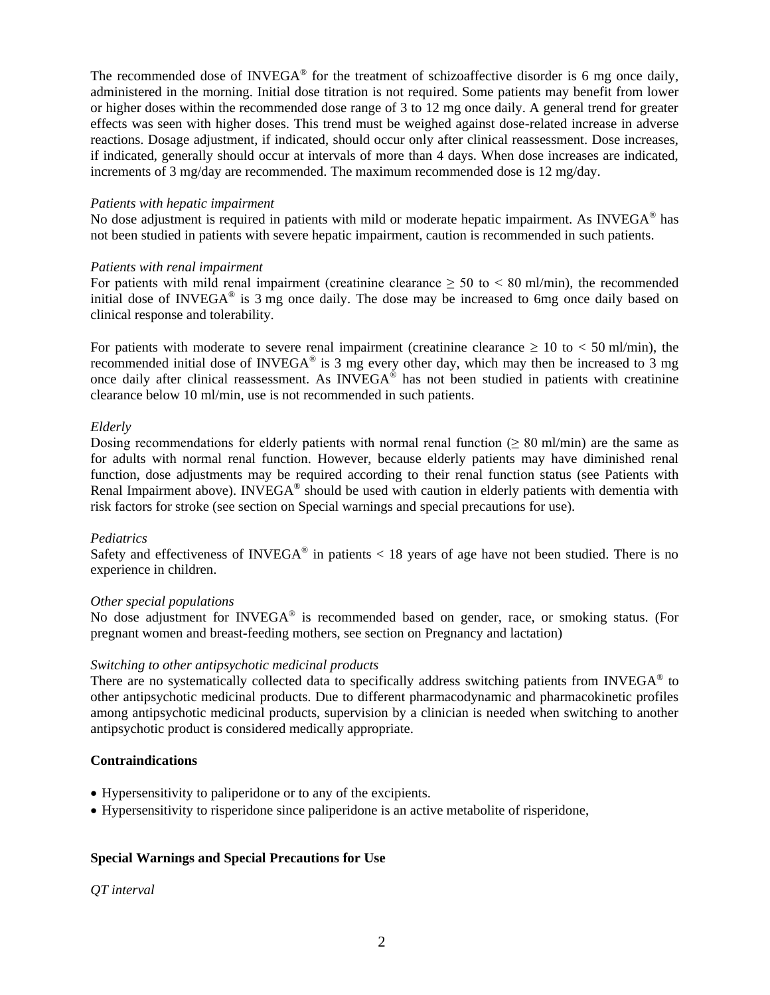The recommended dose of INVEGA® for the treatment of schizoaffective disorder is 6 mg once daily, administered in the morning. Initial dose titration is not required. Some patients may benefit from lower or higher doses within the recommended dose range of 3 to 12 mg once daily. A general trend for greater effects was seen with higher doses. This trend must be weighed against dose-related increase in adverse reactions. Dosage adjustment, if indicated, should occur only after clinical reassessment. Dose increases, if indicated, generally should occur at intervals of more than 4 days. When dose increases are indicated, increments of 3 mg/day are recommended. The maximum recommended dose is 12 mg/day.

## *Patients with hepatic impairment*

No dose adjustment is required in patients with mild or moderate hepatic impairment. As INVEGA<sup>®</sup> has not been studied in patients with severe hepatic impairment, caution is recommended in such patients.

# *Patients with renal impairment*

For patients with mild renal impairment (creatinine clearance  $\geq 50$  to  $\lt 80$  ml/min), the recommended initial dose of INVEGA $\degree$  is 3 mg once daily. The dose may be increased to 6mg once daily based on clinical response and tolerability.

For patients with moderate to severe renal impairment (creatinine clearance  $\geq 10$  to  $\lt 50$  ml/min), the recommended initial dose of INVEGA<sup>®</sup> is 3 mg every other day, which may then be increased to 3 mg once daily after clinical reassessment. As INVEGA® has not been studied in patients with creatinine clearance below 10 ml/min, use is not recommended in such patients.

## *Elderly*

Dosing recommendations for elderly patients with normal renal function ( $\geq 80$  ml/min) are the same as for adults with normal renal function. However, because elderly patients may have diminished renal function, dose adjustments may be required according to their renal function status (see Patients with Renal Impairment above). INVEGA<sup>®</sup> should be used with caution in elderly patients with dementia with risk factors for stroke (see section on Special warnings and special precautions for use).

# *Pediatrics*

Safety and effectiveness of INVEGA<sup>®</sup> in patients  $<$  18 years of age have not been studied. There is no experience in children.

# *Other special populations*

No dose adjustment for INVEGA® is recommended based on gender, race, or smoking status. (For pregnant women and breast-feeding mothers, see section on Pregnancy and lactation)

# *Switching to other antipsychotic medicinal products*

There are no systematically collected data to specifically address switching patients from INVEGA® to other antipsychotic medicinal products. Due to different pharmacodynamic and pharmacokinetic profiles among antipsychotic medicinal products, supervision by a clinician is needed when switching to another antipsychotic product is considered medically appropriate.

# **Contraindications**

- Hypersensitivity to paliperidone or to any of the excipients.
- Hypersensitivity to risperidone since paliperidone is an active metabolite of risperidone,

# **Special Warnings and Special Precautions for Use**

*QT interval*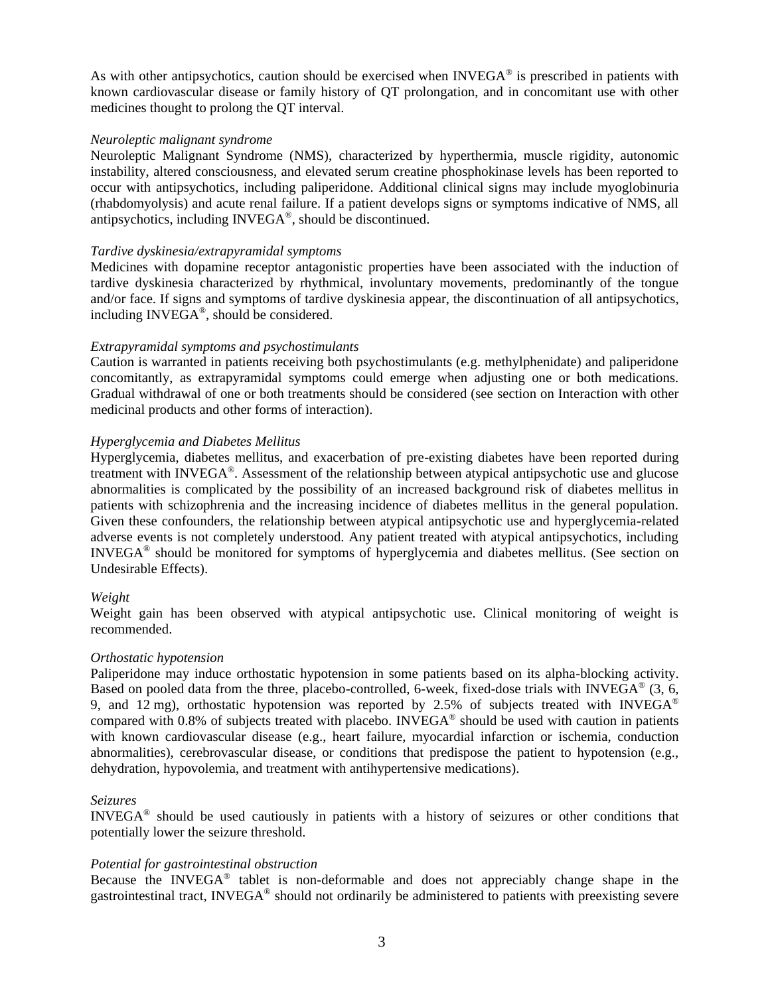As with other antipsychotics, caution should be exercised when INVEGA<sup>®</sup> is prescribed in patients with known cardiovascular disease or family history of QT prolongation, and in concomitant use with other medicines thought to prolong the QT interval.

## *Neuroleptic malignant syndrome*

Neuroleptic Malignant Syndrome (NMS), characterized by hyperthermia, muscle rigidity, autonomic instability, altered consciousness, and elevated serum creatine phosphokinase levels has been reported to occur with antipsychotics, including paliperidone. Additional clinical signs may include myoglobinuria (rhabdomyolysis) and acute renal failure. If a patient develops signs or symptoms indicative of NMS, all antipsychotics, including INVEGA® , should be discontinued.

## *Tardive dyskinesia/extrapyramidal symptoms*

Medicines with dopamine receptor antagonistic properties have been associated with the induction of tardive dyskinesia characterized by rhythmical, involuntary movements, predominantly of the tongue and/or face. If signs and symptoms of tardive dyskinesia appear, the discontinuation of all antipsychotics, including INVEGA® , should be considered.

# *Extrapyramidal symptoms and psychostimulants*

Caution is warranted in patients receiving both psychostimulants (e.g. methylphenidate) and paliperidone concomitantly, as extrapyramidal symptoms could emerge when adjusting one or both medications. Gradual withdrawal of one or both treatments should be considered (see section on Interaction with other medicinal products and other forms of interaction).

## *Hyperglycemia and Diabetes Mellitus*

Hyperglycemia, diabetes mellitus, and exacerbation of pre-existing diabetes have been reported during treatment with INVEGA® . Assessment of the relationship between atypical antipsychotic use and glucose abnormalities is complicated by the possibility of an increased background risk of diabetes mellitus in patients with schizophrenia and the increasing incidence of diabetes mellitus in the general population. Given these confounders, the relationship between atypical antipsychotic use and hyperglycemia-related adverse events is not completely understood. Any patient treated with atypical antipsychotics, including INVEGA® should be monitored for symptoms of hyperglycemia and diabetes mellitus. (See section on Undesirable Effects).

## *Weight*

Weight gain has been observed with atypical antipsychotic use. Clinical monitoring of weight is recommended.

## *Orthostatic hypotension*

Paliperidone may induce orthostatic hypotension in some patients based on its alpha-blocking activity. Based on pooled data from the three, placebo-controlled, 6-week, fixed-dose trials with INVEGA<sup>®</sup> (3, 6, 9, and 12 mg), orthostatic hypotension was reported by 2.5% of subjects treated with INVEGA<sup>®</sup> compared with 0.8% of subjects treated with placebo. INVEGA<sup>®</sup> should be used with caution in patients with known cardiovascular disease (e.g., heart failure, myocardial infarction or ischemia, conduction abnormalities), cerebrovascular disease, or conditions that predispose the patient to hypotension (e.g., dehydration, hypovolemia, and treatment with antihypertensive medications).

## *Seizures*

INVEGA® should be used cautiously in patients with a history of seizures or other conditions that potentially lower the seizure threshold.

## *Potential for gastrointestinal obstruction*

Because the INVEGA<sup>®</sup> tablet is non-deformable and does not appreciably change shape in the gastrointestinal tract, INVEGA® should not ordinarily be administered to patients with preexisting severe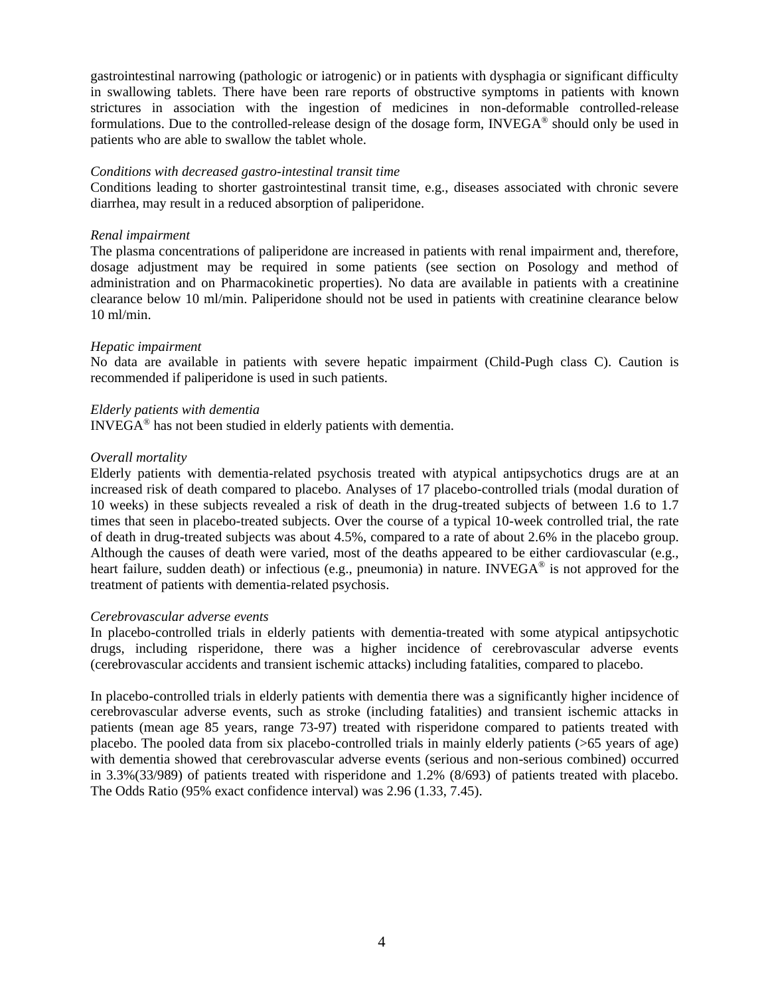gastrointestinal narrowing (pathologic or iatrogenic) or in patients with dysphagia or significant difficulty in swallowing tablets. There have been rare reports of obstructive symptoms in patients with known strictures in association with the ingestion of medicines in non-deformable controlled-release formulations. Due to the controlled-release design of the dosage form, INVEGA® should only be used in patients who are able to swallow the tablet whole.

## *Conditions with decreased gastro-intestinal transit time*

Conditions leading to shorter gastrointestinal transit time, e.g., diseases associated with chronic severe diarrhea, may result in a reduced absorption of paliperidone.

#### *Renal impairment*

The plasma concentrations of paliperidone are increased in patients with renal impairment and, therefore, dosage adjustment may be required in some patients (see section on Posology and method of administration and on Pharmacokinetic properties). No data are available in patients with a creatinine clearance below 10 ml/min. Paliperidone should not be used in patients with creatinine clearance below 10 ml/min.

#### *Hepatic impairment*

No data are available in patients with severe hepatic impairment (Child-Pugh class C). Caution is recommended if paliperidone is used in such patients.

#### *Elderly patients with dementia*

INVEGA® has not been studied in elderly patients with dementia.

#### *Overall mortality*

Elderly patients with dementia-related psychosis treated with atypical antipsychotics drugs are at an increased risk of death compared to placebo. Analyses of 17 placebo-controlled trials (modal duration of 10 weeks) in these subjects revealed a risk of death in the drug-treated subjects of between 1.6 to 1.7 times that seen in placebo-treated subjects. Over the course of a typical 10-week controlled trial, the rate of death in drug-treated subjects was about 4.5%, compared to a rate of about 2.6% in the placebo group. Although the causes of death were varied, most of the deaths appeared to be either cardiovascular (e.g., heart failure, sudden death) or infectious (e.g., pneumonia) in nature. INVEGA<sup>®</sup> is not approved for the treatment of patients with dementia-related psychosis.

#### *Cerebrovascular adverse events*

In placebo-controlled trials in elderly patients with dementia-treated with some atypical antipsychotic drugs, including risperidone, there was a higher incidence of cerebrovascular adverse events (cerebrovascular accidents and transient ischemic attacks) including fatalities, compared to placebo.

In placebo-controlled trials in elderly patients with dementia there was a significantly higher incidence of cerebrovascular adverse events, such as stroke (including fatalities) and transient ischemic attacks in patients (mean age 85 years, range 73-97) treated with risperidone compared to patients treated with placebo. The pooled data from six placebo-controlled trials in mainly elderly patients (>65 years of age) with dementia showed that cerebrovascular adverse events (serious and non-serious combined) occurred in 3.3%(33/989) of patients treated with risperidone and 1.2% (8/693) of patients treated with placebo. The Odds Ratio (95% exact confidence interval) was 2.96 (1.33, 7.45).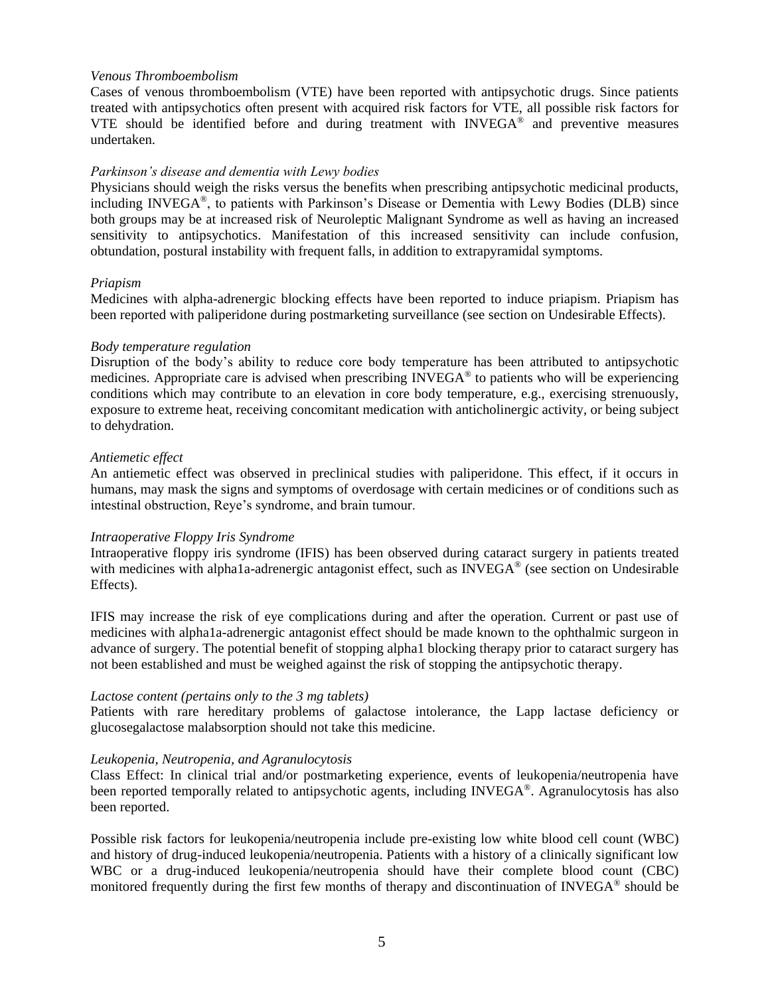## *Venous Thromboembolism*

Cases of venous thromboembolism (VTE) have been reported with antipsychotic drugs. Since patients treated with antipsychotics often present with acquired risk factors for VTE, all possible risk factors for VTE should be identified before and during treatment with INVEGA® and preventive measures undertaken.

## *Parkinson's disease and dementia with Lewy bodies*

Physicians should weigh the risks versus the benefits when prescribing antipsychotic medicinal products, including INVEGA® , to patients with Parkinson's Disease or Dementia with Lewy Bodies (DLB) since both groups may be at increased risk of Neuroleptic Malignant Syndrome as well as having an increased sensitivity to antipsychotics. Manifestation of this increased sensitivity can include confusion, obtundation, postural instability with frequent falls, in addition to extrapyramidal symptoms.

## *Priapism*

Medicines with alpha-adrenergic blocking effects have been reported to induce priapism. Priapism has been reported with paliperidone during postmarketing surveillance (see section on Undesirable Effects).

## *Body temperature regulation*

Disruption of the body's ability to reduce core body temperature has been attributed to antipsychotic medicines. Appropriate care is advised when prescribing  $INVEGA^{\circledast}$  to patients who will be experiencing conditions which may contribute to an elevation in core body temperature, e.g., exercising strenuously, exposure to extreme heat, receiving concomitant medication with anticholinergic activity, or being subject to dehydration.

## *Antiemetic effect*

An antiemetic effect was observed in preclinical studies with paliperidone. This effect, if it occurs in humans, may mask the signs and symptoms of overdosage with certain medicines or of conditions such as intestinal obstruction, Reye's syndrome, and brain tumour.

## *Intraoperative Floppy Iris Syndrome*

Intraoperative floppy iris syndrome (IFIS) has been observed during cataract surgery in patients treated with medicines with alpha1a-adrenergic antagonist effect, such as INVEGA® (see section on Undesirable Effects).

IFIS may increase the risk of eye complications during and after the operation. Current or past use of medicines with alpha1a-adrenergic antagonist effect should be made known to the ophthalmic surgeon in advance of surgery. The potential benefit of stopping alpha1 blocking therapy prior to cataract surgery has not been established and must be weighed against the risk of stopping the antipsychotic therapy.

## *Lactose content (pertains only to the 3 mg tablets)*

Patients with rare hereditary problems of galactose intolerance, the Lapp lactase deficiency or glucosegalactose malabsorption should not take this medicine.

# *Leukopenia, Neutropenia, and Agranulocytosis*

Class Effect: In clinical trial and/or postmarketing experience, events of leukopenia/neutropenia have been reported temporally related to antipsychotic agents, including INVEGA®. Agranulocytosis has also been reported.

Possible risk factors for leukopenia/neutropenia include pre-existing low white blood cell count (WBC) and history of drug-induced leukopenia/neutropenia. Patients with a history of a clinically significant low WBC or a drug-induced leukopenia/neutropenia should have their complete blood count (CBC) monitored frequently during the first few months of therapy and discontinuation of INVEGA® should be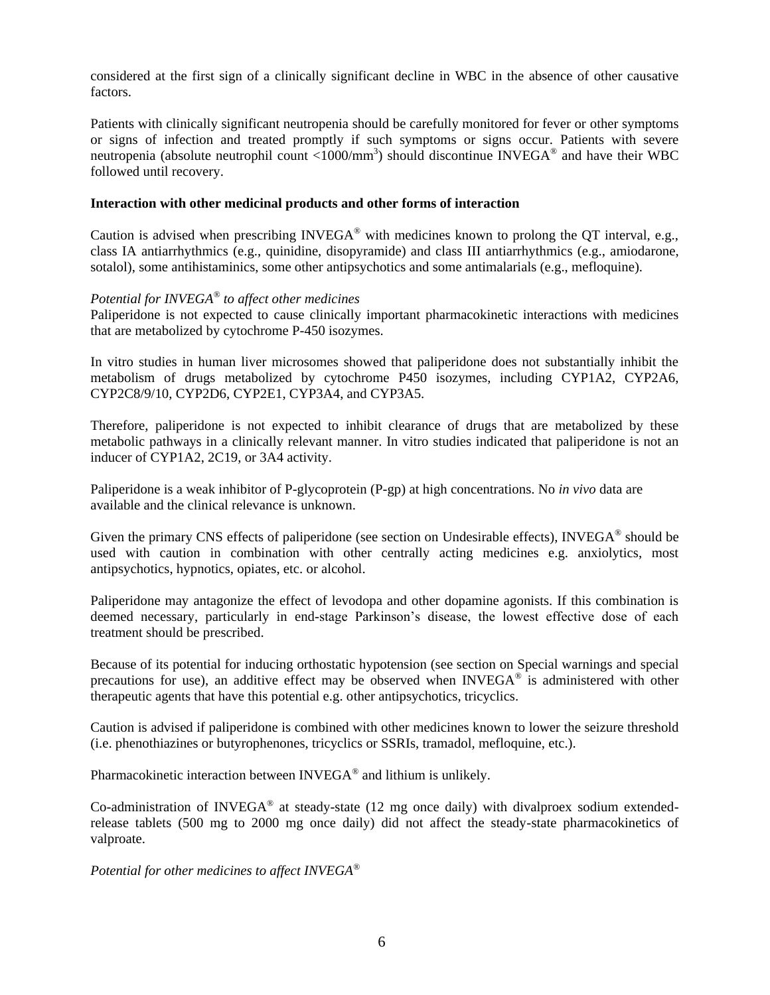considered at the first sign of a clinically significant decline in WBC in the absence of other causative factors.

Patients with clinically significant neutropenia should be carefully monitored for fever or other symptoms or signs of infection and treated promptly if such symptoms or signs occur. Patients with severe neutropenia (absolute neutrophil count  $\langle 1000/\text{mm}^3 \rangle$  should discontinue INVEGA<sup>®</sup> and have their WBC followed until recovery.

## **Interaction with other medicinal products and other forms of interaction**

Caution is advised when prescribing INVEGA® with medicines known to prolong the QT interval, e.g., class IA antiarrhythmics (e.g., quinidine, disopyramide) and class III antiarrhythmics (e.g., amiodarone, sotalol), some antihistaminics, some other antipsychotics and some antimalarials (e.g., mefloquine).

# *Potential for INVEGA® to affect other medicines*

Paliperidone is not expected to cause clinically important pharmacokinetic interactions with medicines that are metabolized by cytochrome P-450 isozymes.

In vitro studies in human liver microsomes showed that paliperidone does not substantially inhibit the metabolism of drugs metabolized by cytochrome P450 isozymes, including CYP1A2, CYP2A6, CYP2C8/9/10, CYP2D6, CYP2E1, CYP3A4, and CYP3A5.

Therefore, paliperidone is not expected to inhibit clearance of drugs that are metabolized by these metabolic pathways in a clinically relevant manner. In vitro studies indicated that paliperidone is not an inducer of CYP1A2, 2C19, or 3A4 activity.

Paliperidone is a weak inhibitor of P-glycoprotein (P-gp) at high concentrations. No *in vivo* data are available and the clinical relevance is unknown.

Given the primary CNS effects of paliperidone (see section on Undesirable effects), INVEGA<sup>®</sup> should be used with caution in combination with other centrally acting medicines e.g. anxiolytics, most antipsychotics, hypnotics, opiates, etc. or alcohol.

Paliperidone may antagonize the effect of levodopa and other dopamine agonists. If this combination is deemed necessary, particularly in end-stage Parkinson's disease, the lowest effective dose of each treatment should be prescribed.

Because of its potential for inducing orthostatic hypotension (see section on Special warnings and special precautions for use), an additive effect may be observed when  $INVEGA<sup>®</sup>$  is administered with other therapeutic agents that have this potential e.g. other antipsychotics, tricyclics.

Caution is advised if paliperidone is combined with other medicines known to lower the seizure threshold (i.e. phenothiazines or butyrophenones, tricyclics or SSRIs, tramadol, mefloquine, etc.).

Pharmacokinetic interaction between INVEGA<sup>®</sup> and lithium is unlikely.

Co-administration of INVEGA® at steady-state (12 mg once daily) with divalproex sodium extendedrelease tablets (500 mg to 2000 mg once daily) did not affect the steady-state pharmacokinetics of valproate.

*Potential for other medicines to affect INVEGA®*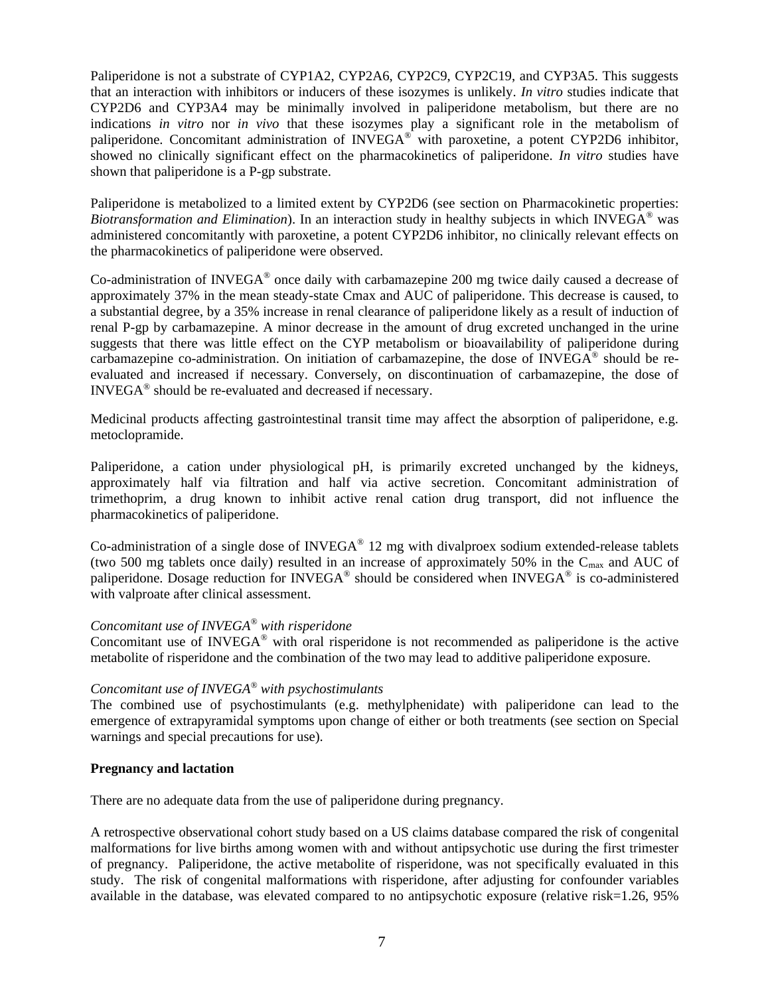Paliperidone is not a substrate of CYP1A2, CYP2A6, CYP2C9, CYP2C19, and CYP3A5. This suggests that an interaction with inhibitors or inducers of these isozymes is unlikely. *In vitro* studies indicate that CYP2D6 and CYP3A4 may be minimally involved in paliperidone metabolism, but there are no indications *in vitro* nor *in vivo* that these isozymes play a significant role in the metabolism of paliperidone. Concomitant administration of INVEGA® with paroxetine, a potent CYP2D6 inhibitor, showed no clinically significant effect on the pharmacokinetics of paliperidone. *In vitro* studies have shown that paliperidone is a P-gp substrate.

Paliperidone is metabolized to a limited extent by CYP2D6 (see section on Pharmacokinetic properties: *Biotransformation and Elimination*). In an interaction study in healthy subjects in which INVEGA® was administered concomitantly with paroxetine, a potent CYP2D6 inhibitor, no clinically relevant effects on the pharmacokinetics of paliperidone were observed.

Co-administration of INVEGA<sup>®</sup> once daily with carbamazepine 200 mg twice daily caused a decrease of approximately 37% in the mean steady-state Cmax and AUC of paliperidone. This decrease is caused, to a substantial degree, by a 35% increase in renal clearance of paliperidone likely as a result of induction of renal P-gp by carbamazepine. A minor decrease in the amount of drug excreted unchanged in the urine suggests that there was little effect on the CYP metabolism or bioavailability of paliperidone during carbamazepine co-administration. On initiation of carbamazepine, the dose of INVEGA<sup>®</sup> should be reevaluated and increased if necessary. Conversely, on discontinuation of carbamazepine, the dose of INVEGA® should be re-evaluated and decreased if necessary.

Medicinal products affecting gastrointestinal transit time may affect the absorption of paliperidone, e.g. metoclopramide.

Paliperidone, a cation under physiological pH, is primarily excreted unchanged by the kidneys, approximately half via filtration and half via active secretion. Concomitant administration of trimethoprim, a drug known to inhibit active renal cation drug transport, did not influence the pharmacokinetics of paliperidone.

Co-administration of a single dose of  $INVEGA<sup>®</sup> 12$  mg with divalproex sodium extended-release tablets (two 500 mg tablets once daily) resulted in an increase of approximately 50% in the  $C_{\text{max}}$  and AUC of paliperidone. Dosage reduction for INVEGA® should be considered when INVEGA® is co-administered with valproate after clinical assessment.

# *Concomitant use of INVEGA® with risperidone*

Concomitant use of INVEGA® with oral risperidone is not recommended as paliperidone is the active metabolite of risperidone and the combination of the two may lead to additive paliperidone exposure.

# *Concomitant use of INVEGA® with psychostimulants*

The combined use of psychostimulants (e.g. methylphenidate) with paliperidone can lead to the emergence of extrapyramidal symptoms upon change of either or both treatments (see section on Special warnings and special precautions for use).

## **Pregnancy and lactation**

There are no adequate data from the use of paliperidone during pregnancy.

A retrospective observational cohort study based on a US claims database compared the risk of congenital malformations for live births among women with and without antipsychotic use during the first trimester of pregnancy. Paliperidone, the active metabolite of risperidone, was not specifically evaluated in this study. The risk of congenital malformations with risperidone, after adjusting for confounder variables available in the database, was elevated compared to no antipsychotic exposure (relative risk=1.26, 95%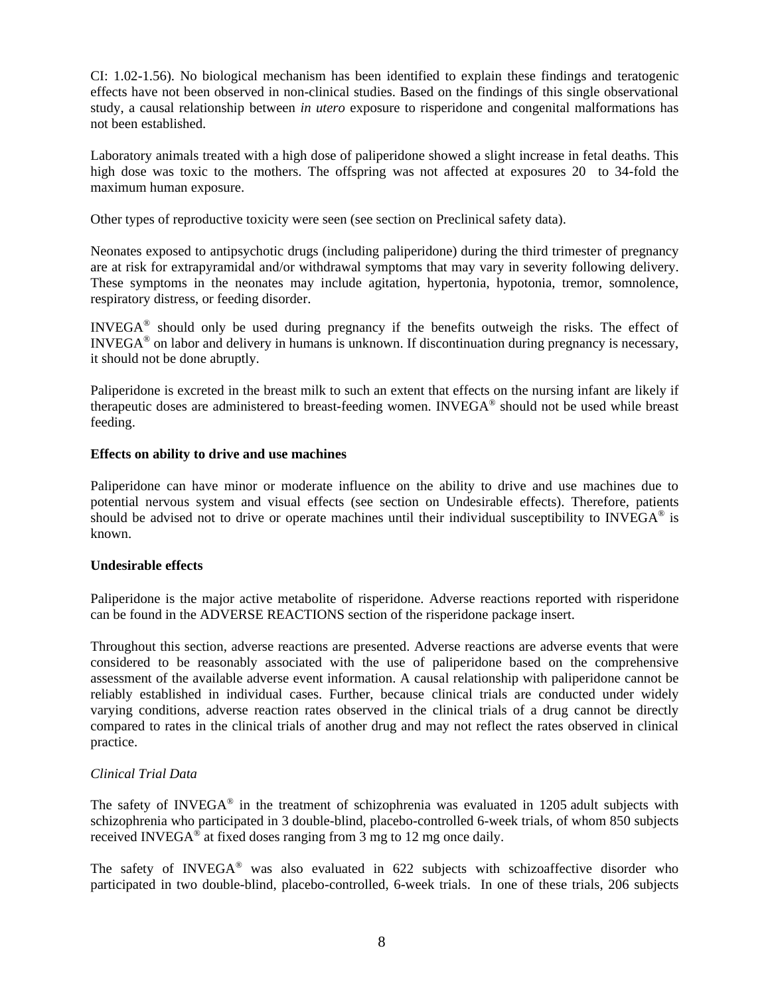CI: 1.02-1.56). No biological mechanism has been identified to explain these findings and teratogenic effects have not been observed in non-clinical studies. Based on the findings of this single observational study, a causal relationship between *in utero* exposure to risperidone and congenital malformations has not been established.

Laboratory animals treated with a high dose of paliperidone showed a slight increase in fetal deaths. This high dose was toxic to the mothers. The offspring was not affected at exposures 20 to 34-fold the maximum human exposure.

Other types of reproductive toxicity were seen (see section on Preclinical safety data).

Neonates exposed to antipsychotic drugs (including paliperidone) during the third trimester of pregnancy are at risk for extrapyramidal and/or withdrawal symptoms that may vary in severity following delivery. These symptoms in the neonates may include agitation, hypertonia, hypotonia, tremor, somnolence, respiratory distress, or feeding disorder.

INVEGA® should only be used during pregnancy if the benefits outweigh the risks. The effect of INVEGA® on labor and delivery in humans is unknown. If discontinuation during pregnancy is necessary, it should not be done abruptly.

Paliperidone is excreted in the breast milk to such an extent that effects on the nursing infant are likely if therapeutic doses are administered to breast-feeding women. INVEGA® should not be used while breast feeding.

# **Effects on ability to drive and use machines**

Paliperidone can have minor or moderate influence on the ability to drive and use machines due to potential nervous system and visual effects (see section on Undesirable effects). Therefore, patients should be advised not to drive or operate machines until their individual susceptibility to INVEGA<sup>®</sup> is known.

# **Undesirable effects**

Paliperidone is the major active metabolite of risperidone. Adverse reactions reported with risperidone can be found in the ADVERSE REACTIONS section of the risperidone package insert.

Throughout this section, adverse reactions are presented. Adverse reactions are adverse events that were considered to be reasonably associated with the use of paliperidone based on the comprehensive assessment of the available adverse event information. A causal relationship with paliperidone cannot be reliably established in individual cases. Further, because clinical trials are conducted under widely varying conditions, adverse reaction rates observed in the clinical trials of a drug cannot be directly compared to rates in the clinical trials of another drug and may not reflect the rates observed in clinical practice.

# *Clinical Trial Data*

The safety of INVEGA $^{\circ}$  in the treatment of schizophrenia was evaluated in 1205 adult subjects with schizophrenia who participated in 3 double-blind, placebo-controlled 6-week trials, of whom 850 subjects received INVEGA $\mathscr{F}$  at fixed doses ranging from 3 mg to 12 mg once daily.

The safety of INVEGA® was also evaluated in 622 subjects with schizoaffective disorder who participated in two double-blind, placebo-controlled, 6-week trials. In one of these trials, 206 subjects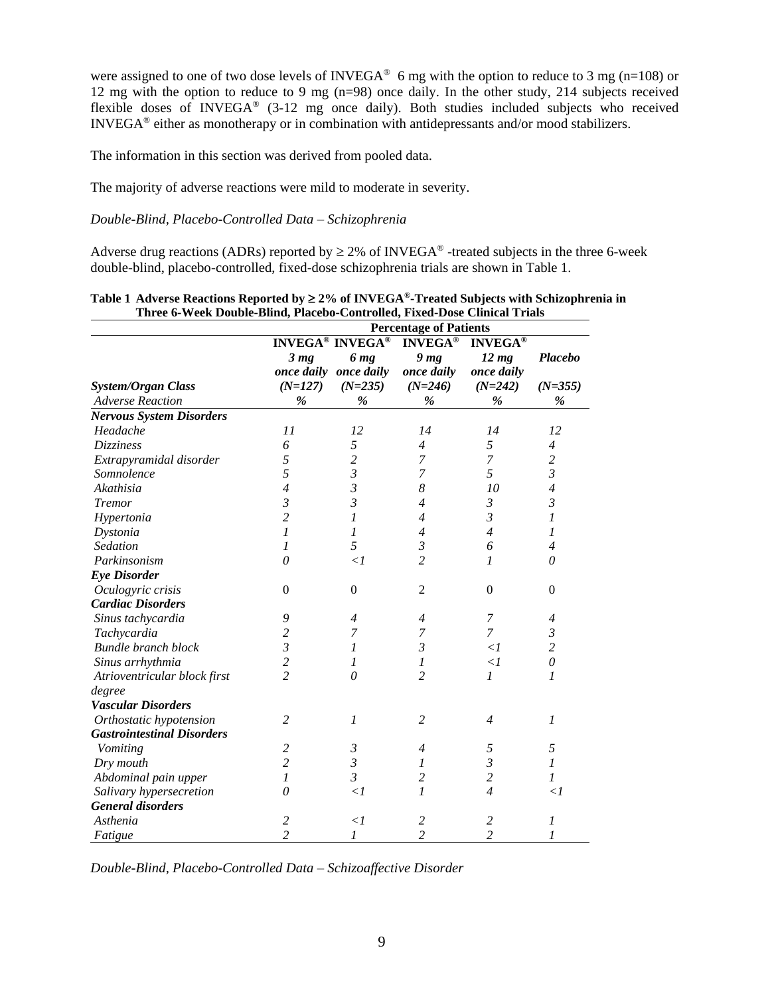were assigned to one of two dose levels of INVEGA<sup>®</sup> 6 mg with the option to reduce to 3 mg (n=108) or 12 mg with the option to reduce to 9 mg (n=98) once daily. In the other study, 214 subjects received flexible doses of INVEGA® (3-12 mg once daily). Both studies included subjects who received INVEGA® either as monotherapy or in combination with antidepressants and/or mood stabilizers.

The information in this section was derived from pooled data.

The majority of adverse reactions were mild to moderate in severity.

## *Double-Blind, Placebo-Controlled Data – Schizophrenia*

Adverse drug reactions (ADRs) reported by  $\geq 2\%$  of INVEGA<sup>®</sup> -treated subjects in the three 6-week double-blind, placebo-controlled, fixed-dose schizophrenia trials are shown in Table 1.

|                                   | <b>Percentage of Patients</b> |                        |                 |                              |                  |
|-----------------------------------|-------------------------------|------------------------|-----------------|------------------------------|------------------|
|                                   |                               | <b>INVEGA® INVEGA®</b> | <b>INVEGA®</b>  |                              |                  |
|                                   | 3 <sub>mg</sub>               | 6 mg                   | 9 <sub>mg</sub> | <b>INVEGA®</b><br>$12 \, mg$ | <b>Placebo</b>   |
|                                   |                               | once daily once daily  | once daily      | once daily                   |                  |
| <b>System/Organ Class</b>         | $(N=127)$                     | $(N=235)$              | $(N=246)$       | $(N=242)$                    | $(N=355)$        |
| <b>Adverse Reaction</b>           | $\%$                          | %                      | $\%$            | %                            | $\%$             |
| <b>Nervous System Disorders</b>   |                               |                        |                 |                              |                  |
| Headache                          | 11                            | 12                     | 14              | 14                           | 12               |
| Dizziness                         | 6                             | 5                      | $\overline{4}$  | 5                            | $\overline{4}$   |
| Extrapyramidal disorder           | 5                             | $\overline{c}$         | 7               | 7                            | $\overline{c}$   |
| Somnolence                        | 5                             | $\mathfrak{Z}$         | 7               | 5                            | $\mathfrak{Z}$   |
| Akathisia                         | $\overline{4}$                | $\mathfrak{Z}$         | 8               | 10                           | $\overline{4}$   |
| <b>Tremor</b>                     | $\mathfrak{Z}$                | $\mathfrak{Z}$         | $\overline{4}$  | 3                            | $\mathfrak{Z}$   |
| Hypertonia                        | $\overline{c}$                | 1                      | $\overline{4}$  | 3                            | 1                |
| Dystonia                          | 1                             | 1                      | $\overline{4}$  | $\overline{4}$               | 1                |
| Sedation                          | 1                             | 5                      | $\mathfrak{Z}$  | 6                            | $\overline{4}$   |
| Parkinsonism                      | 0                             | $\leq l$               | $\overline{c}$  | 1                            | 0                |
| <b>Eye Disorder</b>               |                               |                        |                 |                              |                  |
| Oculogyric crisis                 | $\Omega$                      | $\boldsymbol{0}$       | $\overline{2}$  | $\Omega$                     | $\mathbf{0}$     |
| <b>Cardiac Disorders</b>          |                               |                        |                 |                              |                  |
| Sinus tachycardia                 | 9                             | $\overline{4}$         | $\overline{4}$  | $\overline{7}$               | $\overline{4}$   |
| Tachycardia                       | $\overline{c}$                | 7                      | 7               | 7                            | $\mathfrak{Z}$   |
| <b>Bundle branch block</b>        | $\mathfrak{Z}$                | 1                      | $\mathfrak{Z}$  | $\leq l$                     | $\overline{c}$   |
| Sinus arrhythmia                  | $\overline{c}$                | 1                      | 1               | $\leq l$                     | $\theta$         |
| Atrioventricular block first      | $\overline{2}$                | 0                      | $\overline{c}$  | 1                            | 1                |
| degree                            |                               |                        |                 |                              |                  |
| <b>Vascular Disorders</b>         |                               |                        |                 |                              |                  |
| Orthostatic hypotension           | $\overline{c}$                | 1                      | $\overline{2}$  | 4                            | $\boldsymbol{l}$ |
| <b>Gastrointestinal Disorders</b> |                               |                        |                 |                              |                  |
| Vomiting                          | 2                             | 3                      | $\overline{4}$  | 5                            | 5                |
| Dry mouth                         | $\overline{c}$                | $\mathfrak{Z}$         | 1               | $\mathfrak{Z}$               | $\mathfrak{1}$   |
| Abdominal pain upper              | 1                             | $\mathfrak{Z}$         | $\overline{c}$  | $\overline{c}$               | 1                |
| Salivary hypersecretion           | 0                             | $\leq l$               | 1               | $\overline{4}$               | $\mathopen{<} l$ |
| <b>General disorders</b>          |                               |                        |                 |                              |                  |
| Asthenia                          | 2                             | $\leq l$               | 2               | 2                            | 1                |
| Fatigue                           | $\overline{2}$                | $\mathcal{I}$          | $\overline{c}$  | $\overline{2}$               | 1                |

# **Table 1 Adverse Reactions Reported by 2% of INVEGA®-Treated Subjects with Schizophrenia in Three 6-Week Double-Blind, Placebo-Controlled, Fixed-Dose Clinical Trials**

*Double-Blind, Placebo-Controlled Data – Schizoaffective Disorder*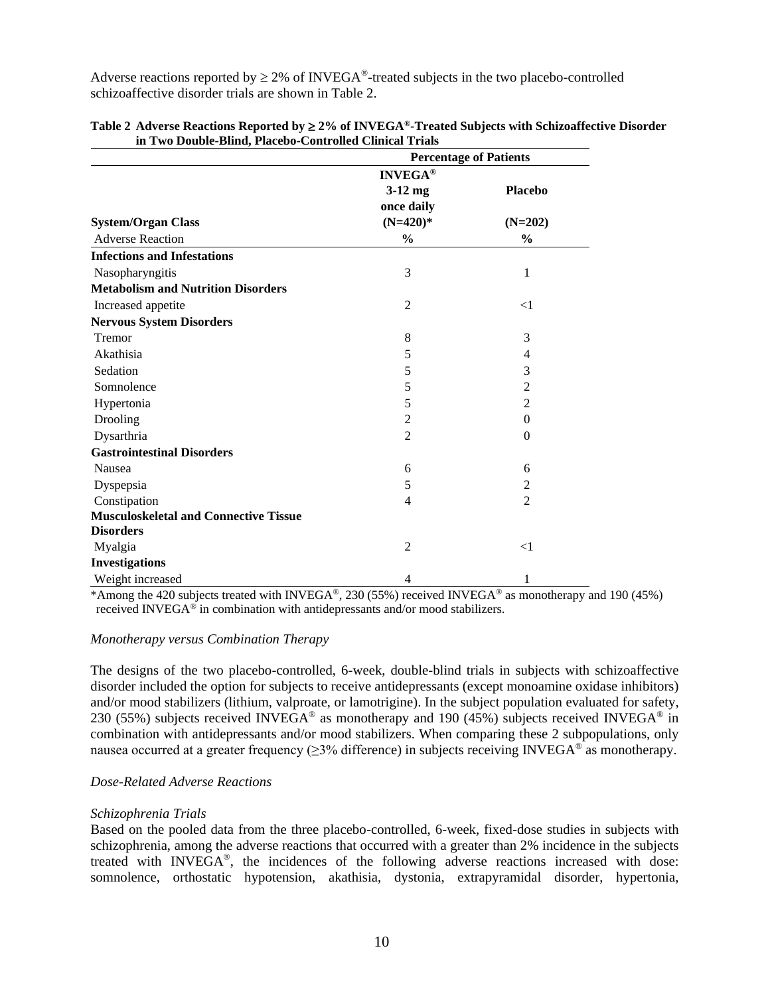Adverse reactions reported by  $\geq 2\%$  of INVEGA<sup>®</sup>-treated subjects in the two placebo-controlled schizoaffective disorder trials are shown in Table 2.

|                                              |                | <b>Percentage of Patients</b> |  |  |
|----------------------------------------------|----------------|-------------------------------|--|--|
|                                              | <b>INVEGA®</b> |                               |  |  |
|                                              | $3-12$ mg      | <b>Placebo</b>                |  |  |
|                                              | once daily     |                               |  |  |
| <b>System/Organ Class</b>                    | $(N=420)*$     | $(N=202)$                     |  |  |
| <b>Adverse Reaction</b>                      | $\frac{0}{0}$  | $\%$                          |  |  |
| <b>Infections and Infestations</b>           |                |                               |  |  |
| Nasopharyngitis                              | 3              | 1                             |  |  |
| <b>Metabolism and Nutrition Disorders</b>    |                |                               |  |  |
| Increased appetite                           | $\overline{2}$ | $<$ 1                         |  |  |
| <b>Nervous System Disorders</b>              |                |                               |  |  |
| Tremor                                       | 8              | 3                             |  |  |
| Akathisia                                    | 5              | 4                             |  |  |
| Sedation                                     | 5              | 3                             |  |  |
| Somnolence                                   | 5              | $\overline{2}$                |  |  |
| Hypertonia                                   | 5              | $\overline{2}$                |  |  |
| Drooling                                     | $\overline{2}$ | $\overline{0}$                |  |  |
| Dysarthria                                   | $\overline{2}$ | $\overline{0}$                |  |  |
| <b>Gastrointestinal Disorders</b>            |                |                               |  |  |
| Nausea                                       | 6              | 6                             |  |  |
| Dyspepsia                                    | 5              | 2                             |  |  |
| Constipation                                 | 4              | $\overline{2}$                |  |  |
| <b>Musculoskeletal and Connective Tissue</b> |                |                               |  |  |
| <b>Disorders</b>                             |                |                               |  |  |
| Myalgia                                      | $\overline{2}$ | $<$ 1                         |  |  |
| <b>Investigations</b>                        |                |                               |  |  |
| Weight increased                             | 4              | 1                             |  |  |

| Table 2 Adverse Reactions Reported by $\geq 2\%$ of INVEGA®-Treated Subjects with Schizoaffective Disorder |
|------------------------------------------------------------------------------------------------------------|
| in Two Double-Blind, Placebo-Controlled Clinical Trials                                                    |

\*Among the 420 subjects treated with INVEGA®, 230 (55%) received INVEGA® as monotherapy and 190 (45%) received INVEGA® in combination with antidepressants and/or mood stabilizers.

## *Monotherapy versus Combination Therapy*

The designs of the two placebo-controlled, 6-week, double-blind trials in subjects with schizoaffective disorder included the option for subjects to receive antidepressants (except monoamine oxidase inhibitors) and/or mood stabilizers (lithium, valproate, or lamotrigine). In the subject population evaluated for safety, 230 (55%) subjects received INVEGA<sup>®</sup> as monotherapy and 190 (45%) subjects received INVEGA<sup>®</sup> in combination with antidepressants and/or mood stabilizers. When comparing these 2 subpopulations, only nausea occurred at a greater frequency ( $\geq$ 3% difference) in subjects receiving INVEGA® as monotherapy.

#### *Dose-Related Adverse Reactions*

#### *Schizophrenia Trials*

Based on the pooled data from the three placebo-controlled, 6-week, fixed-dose studies in subjects with schizophrenia, among the adverse reactions that occurred with a greater than 2% incidence in the subjects treated with INVEGA® , the incidences of the following adverse reactions increased with dose: somnolence, orthostatic hypotension, akathisia, dystonia, extrapyramidal disorder, hypertonia,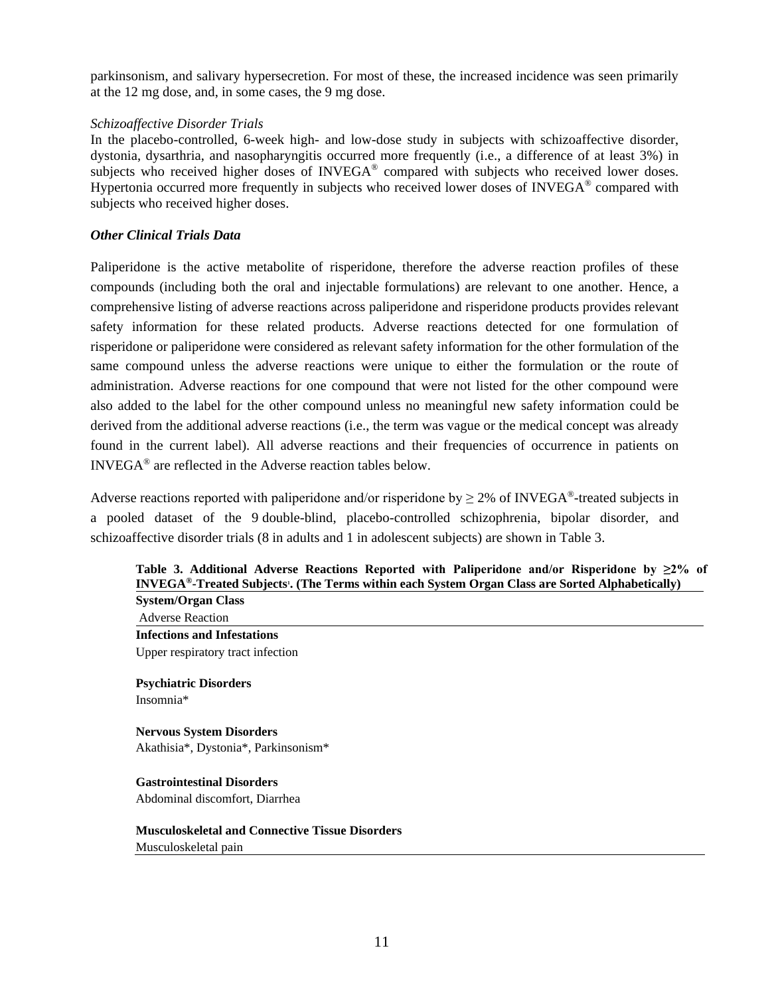parkinsonism, and salivary hypersecretion. For most of these, the increased incidence was seen primarily at the 12 mg dose, and, in some cases, the 9 mg dose.

## *Schizoaffective Disorder Trials*

In the placebo-controlled, 6-week high- and low-dose study in subjects with schizoaffective disorder, dystonia, dysarthria, and nasopharyngitis occurred more frequently (i.e., a difference of at least 3%) in subjects who received higher doses of  $INVEGA<sup>®</sup>$  compared with subjects who received lower doses. Hypertonia occurred more frequently in subjects who received lower doses of INVEGA® compared with subjects who received higher doses.

## *Other Clinical Trials Data*

Paliperidone is the active metabolite of risperidone, therefore the adverse reaction profiles of these compounds (including both the oral and injectable formulations) are relevant to one another. Hence, a comprehensive listing of adverse reactions across paliperidone and risperidone products provides relevant safety information for these related products. Adverse reactions detected for one formulation of risperidone or paliperidone were considered as relevant safety information for the other formulation of the same compound unless the adverse reactions were unique to either the formulation or the route of administration. Adverse reactions for one compound that were not listed for the other compound were also added to the label for the other compound unless no meaningful new safety information could be derived from the additional adverse reactions (i.e., the term was vague or the medical concept was already found in the current label). All adverse reactions and their frequencies of occurrence in patients on INVEGA® are reflected in the Adverse reaction tables below.

Adverse reactions reported with paliperidone and/or risperidone by  $\geq 2\%$  of INVEGA<sup>®</sup>-treated subjects in a pooled dataset of the 9 double-blind, placebo-controlled schizophrenia, bipolar disorder, and schizoaffective disorder trials (8 in adults and 1 in adolescent subjects) are shown in Table 3.

## **Table 3. Additional Adverse Reactions Reported with Paliperidone and/or Risperidone by ≥2% of INVEGA®-Treated Subjects<sup>1</sup> . (The Terms within each System Organ Class are Sorted Alphabetically) System/Organ Class**

Adverse Reaction **Infections and Infestations** Upper respiratory tract infection

**Psychiatric Disorders** Insomnia\*

**Nervous System Disorders**  Akathisia\*, Dystonia\*, Parkinsonism\*

**Gastrointestinal Disorders**  Abdominal discomfort, Diarrhea

# **Musculoskeletal and Connective Tissue Disorders**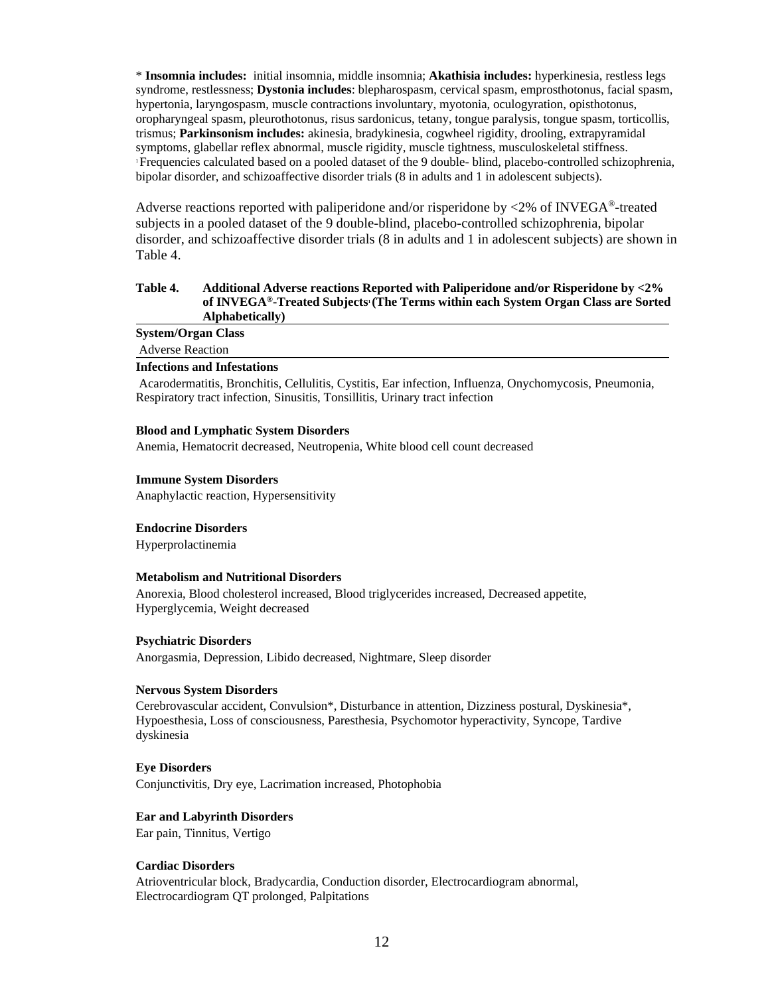\* **Insomnia includes:** initial insomnia, middle insomnia; **Akathisia includes:** hyperkinesia, restless legs syndrome, restlessness; **Dystonia includes**: blepharospasm, cervical spasm, emprosthotonus, facial spasm, hypertonia, laryngospasm, muscle contractions involuntary, myotonia, oculogyration, opisthotonus, oropharyngeal spasm, pleurothotonus, risus sardonicus, tetany, tongue paralysis, tongue spasm, torticollis, trismus; **Parkinsonism includes:** akinesia, bradykinesia, cogwheel rigidity, drooling, extrapyramidal symptoms, glabellar reflex abnormal, muscle rigidity, muscle tightness, musculoskeletal stiffness. <sup>1</sup>Frequencies calculated based on a pooled dataset of the 9 double- blind, placebo-controlled schizophrenia, bipolar disorder, and schizoaffective disorder trials (8 in adults and 1 in adolescent subjects).

Adverse reactions reported with paliperidone and/or risperidone by <2% of INVEGA®-treated subjects in a pooled dataset of the 9 double-blind, placebo-controlled schizophrenia, bipolar disorder, and schizoaffective disorder trials (8 in adults and 1 in adolescent subjects) are shown in Table 4.

#### **Table 4. Additional Adverse reactions Reported with Paliperidone and/or Risperidone by <2% of INVEGA®-Treated Subjects<sup>1</sup> (The Terms within each System Organ Class are Sorted Alphabetically)**

| <b>System/Organ Class</b>          |  |  |
|------------------------------------|--|--|
| <b>Adverse Reaction</b>            |  |  |
| <b>Infections and Infestations</b> |  |  |

Acarodermatitis, Bronchitis, Cellulitis, Cystitis, Ear infection, Influenza, Onychomycosis, Pneumonia, Respiratory tract infection, Sinusitis, Tonsillitis, Urinary tract infection

#### **Blood and Lymphatic System Disorders**

Anemia, Hematocrit decreased, Neutropenia, White blood cell count decreased

#### **Immune System Disorders**

Anaphylactic reaction, Hypersensitivity

#### **Endocrine Disorders**

Hyperprolactinemia

#### **Metabolism and Nutritional Disorders**

Anorexia, Blood cholesterol increased, Blood triglycerides increased, Decreased appetite, Hyperglycemia, Weight decreased

#### **Psychiatric Disorders**

Anorgasmia, Depression, Libido decreased, Nightmare, Sleep disorder

## **Nervous System Disorders**

Cerebrovascular accident, Convulsion\*, Disturbance in attention, Dizziness postural, Dyskinesia\*, Hypoesthesia, Loss of consciousness, Paresthesia, Psychomotor hyperactivity, Syncope, Tardive dyskinesia

#### **Eye Disorders**

Conjunctivitis, Dry eye, Lacrimation increased, Photophobia

# **Ear and Labyrinth Disorders**

Ear pain, Tinnitus, Vertigo

#### **Cardiac Disorders**

Atrioventricular block, Bradycardia, Conduction disorder, Electrocardiogram abnormal, Electrocardiogram QT prolonged, Palpitations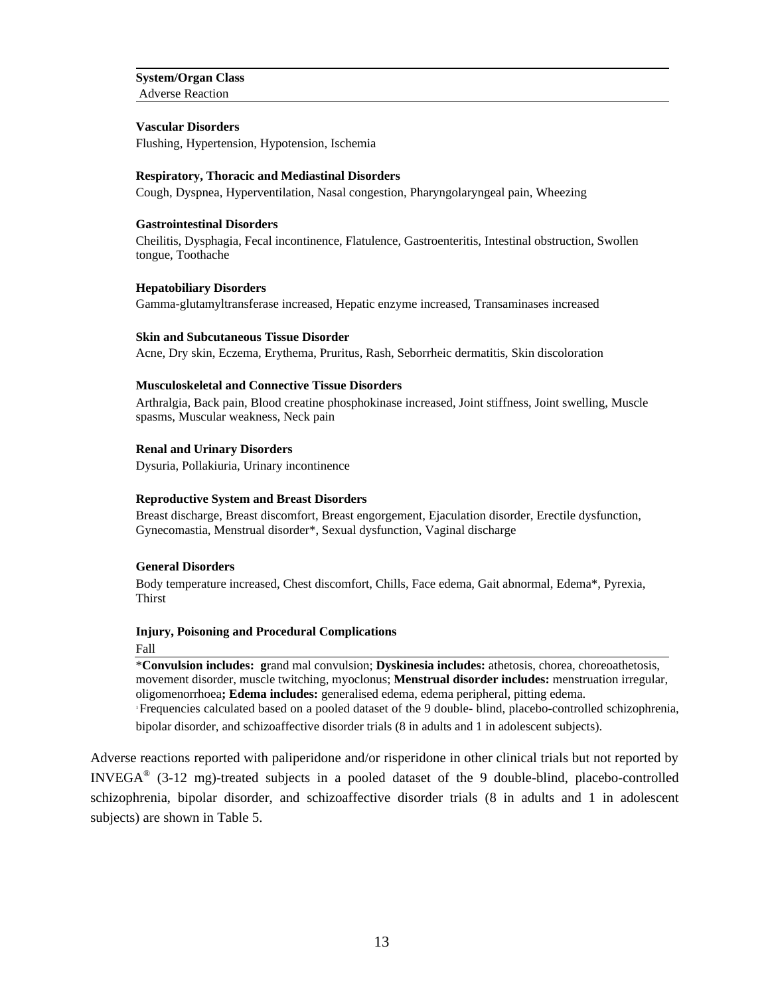#### **System/Organ Class** Adverse Reaction

**Vascular Disorders**

Flushing, Hypertension, Hypotension, Ischemia

#### **Respiratory, Thoracic and Mediastinal Disorders**

Cough, Dyspnea, Hyperventilation, Nasal congestion, Pharyngolaryngeal pain, Wheezing

#### **Gastrointestinal Disorders**

Cheilitis, Dysphagia, Fecal incontinence, Flatulence, Gastroenteritis, Intestinal obstruction, Swollen tongue, Toothache

#### **Hepatobiliary Disorders**

Gamma-glutamyltransferase increased, Hepatic enzyme increased, Transaminases increased

#### **Skin and Subcutaneous Tissue Disorder**

Acne, Dry skin, Eczema, Erythema, Pruritus, Rash, Seborrheic dermatitis, Skin discoloration

#### **Musculoskeletal and Connective Tissue Disorders**

Arthralgia, Back pain, Blood creatine phosphokinase increased, Joint stiffness, Joint swelling, Muscle spasms, Muscular weakness, Neck pain

## **Renal and Urinary Disorders**

Dysuria, Pollakiuria, Urinary incontinence

#### **Reproductive System and Breast Disorders**

Breast discharge, Breast discomfort, Breast engorgement, Ejaculation disorder, Erectile dysfunction, Gynecomastia, Menstrual disorder\*, Sexual dysfunction, Vaginal discharge

## **General Disorders**

Body temperature increased, Chest discomfort, Chills, Face edema, Gait abnormal, Edema\*, Pyrexia, Thirst

# **Injury, Poisoning and Procedural Complications**

#### Fall

\***Convulsion includes: g**rand mal convulsion; **Dyskinesia includes:** athetosis, chorea, choreoathetosis, movement disorder, muscle twitching, myoclonus; **Menstrual disorder includes:** menstruation irregular, oligomenorrhoea**; Edema includes:** generalised edema, edema peripheral, pitting edema.

<sup>1</sup>Frequencies calculated based on a pooled dataset of the 9 double- blind, placebo-controlled schizophrenia, bipolar disorder, and schizoaffective disorder trials (8 in adults and 1 in adolescent subjects).

Adverse reactions reported with paliperidone and/or risperidone in other clinical trials but not reported by INVEGA® (3-12 mg)-treated subjects in a pooled dataset of the 9 double-blind, placebo-controlled schizophrenia, bipolar disorder, and schizoaffective disorder trials (8 in adults and 1 in adolescent subjects) are shown in Table 5.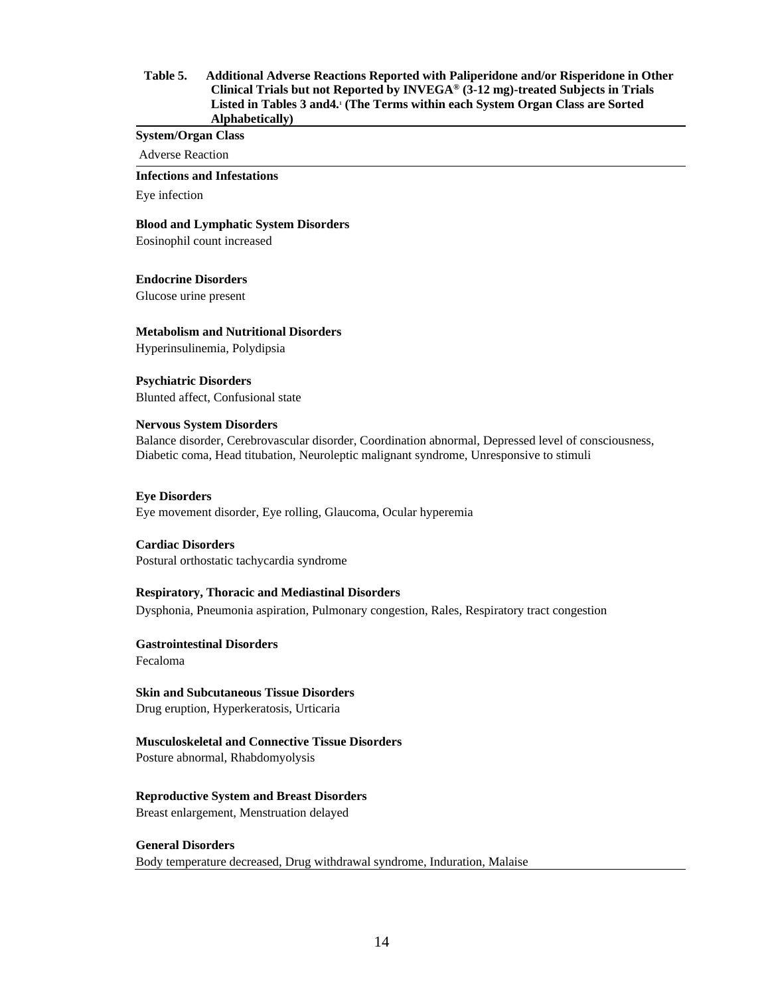#### **Table 5. Additional Adverse Reactions Reported with Paliperidone and/or Risperidone in Other Clinical Trials but not Reported by INVEGA® (3-12 mg)-treated Subjects in Trials Listed in Tables 3 and4.<sup>1</sup> (The Terms within each System Organ Class are Sorted Alphabetically)**

**System/Organ Class**

Adverse Reaction

**Infections and Infestations**

Eye infection

**Blood and Lymphatic System Disorders**

Eosinophil count increased

**Endocrine Disorders**

Glucose urine present

**Metabolism and Nutritional Disorders**

Hyperinsulinemia, Polydipsia

**Psychiatric Disorders** Blunted affect, Confusional state

#### **Nervous System Disorders**

Balance disorder, Cerebrovascular disorder, Coordination abnormal, Depressed level of consciousness, Diabetic coma, Head titubation, Neuroleptic malignant syndrome, Unresponsive to stimuli

#### **Eye Disorders**

Eye movement disorder, Eye rolling, Glaucoma, Ocular hyperemia

**Cardiac Disorders** Postural orthostatic tachycardia syndrome

#### **Respiratory, Thoracic and Mediastinal Disorders**

Dysphonia, Pneumonia aspiration, Pulmonary congestion, Rales, Respiratory tract congestion

**Gastrointestinal Disorders**  Fecaloma

#### **Skin and Subcutaneous Tissue Disorders**

Drug eruption, Hyperkeratosis, Urticaria

#### **Musculoskeletal and Connective Tissue Disorders**

Posture abnormal, Rhabdomyolysis

#### **Reproductive System and Breast Disorders**

Breast enlargement, Menstruation delayed

#### **General Disorders**

Body temperature decreased, Drug withdrawal syndrome, Induration, Malaise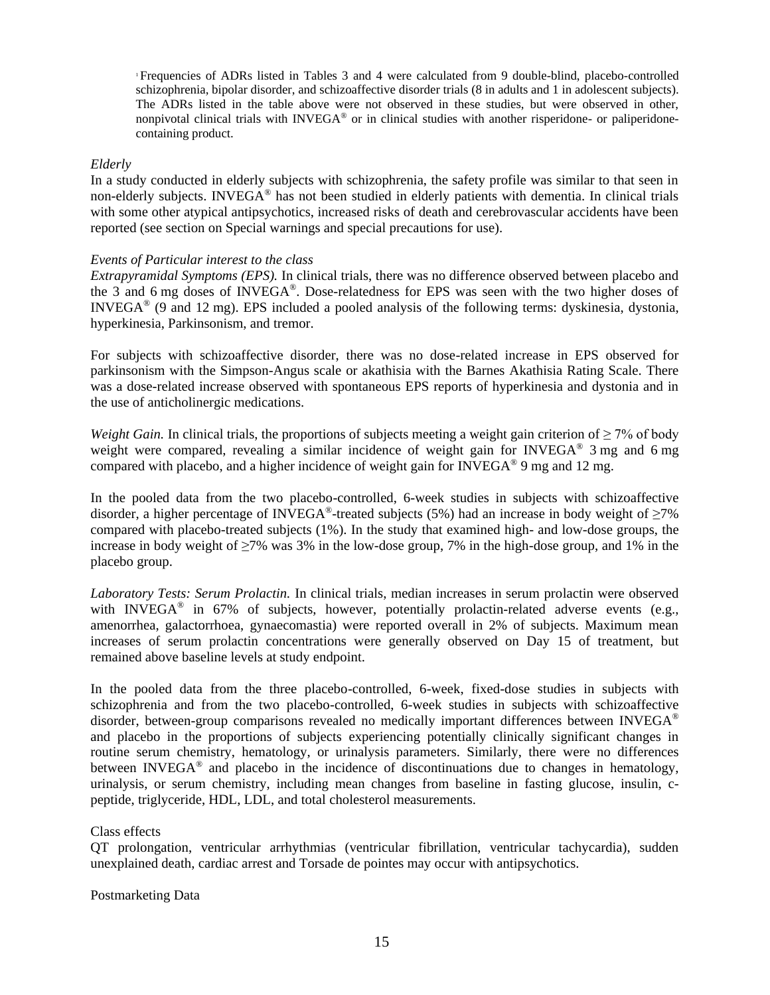<sup>1</sup>Frequencies of ADRs listed in Tables 3 and 4 were calculated from 9 double-blind, placebo-controlled schizophrenia, bipolar disorder, and schizoaffective disorder trials (8 in adults and 1 in adolescent subjects). The ADRs listed in the table above were not observed in these studies, but were observed in other, nonpivotal clinical trials with INVEGA® or in clinical studies with another risperidone- or paliperidonecontaining product.

## *Elderly*

In a study conducted in elderly subjects with schizophrenia, the safety profile was similar to that seen in non-elderly subjects. INVEGA<sup>®</sup> has not been studied in elderly patients with dementia. In clinical trials with some other atypical antipsychotics, increased risks of death and cerebrovascular accidents have been reported (see section on Special warnings and special precautions for use).

## *Events of Particular interest to the class*

*Extrapyramidal Symptoms (EPS).* In clinical trials, there was no difference observed between placebo and the 3 and 6 mg doses of INVEGA® . Dose-relatedness for EPS was seen with the two higher doses of INVEGA® (9 and 12 mg). EPS included a pooled analysis of the following terms: dyskinesia, dystonia, hyperkinesia, Parkinsonism, and tremor.

For subjects with schizoaffective disorder, there was no dose-related increase in EPS observed for parkinsonism with the Simpson-Angus scale or akathisia with the Barnes Akathisia Rating Scale. There was a dose-related increase observed with spontaneous EPS reports of hyperkinesia and dystonia and in the use of anticholinergic medications.

*Weight Gain.* In clinical trials, the proportions of subjects meeting a weight gain criterion of  $\geq 7\%$  of body weight were compared, revealing a similar incidence of weight gain for INVEGA® 3 mg and 6 mg compared with placebo, and a higher incidence of weight gain for INVEGA<sup>®</sup> 9 mg and 12 mg.

In the pooled data from the two placebo-controlled, 6-week studies in subjects with schizoaffective disorder, a higher percentage of INVEGA<sup>®</sup>-treated subjects (5%) had an increase in body weight of  $\geq$ 7% compared with placebo-treated subjects (1%). In the study that examined high- and low-dose groups, the increase in body weight of ≥7% was 3% in the low-dose group, 7% in the high-dose group, and 1% in the placebo group.

*Laboratory Tests: Serum Prolactin.* In clinical trials, median increases in serum prolactin were observed with INVEGA<sup>®</sup> in 67% of subjects, however, potentially prolactin-related adverse events (e.g., amenorrhea, galactorrhoea, gynaecomastia) were reported overall in 2% of subjects. Maximum mean increases of serum prolactin concentrations were generally observed on Day 15 of treatment, but remained above baseline levels at study endpoint.

In the pooled data from the three placebo-controlled, 6-week, fixed-dose studies in subjects with schizophrenia and from the two placebo-controlled, 6-week studies in subjects with schizoaffective disorder, between-group comparisons revealed no medically important differences between INVEGA® and placebo in the proportions of subjects experiencing potentially clinically significant changes in routine serum chemistry, hematology, or urinalysis parameters. Similarly, there were no differences between INVEGA<sup>®</sup> and placebo in the incidence of discontinuations due to changes in hematology, urinalysis, or serum chemistry, including mean changes from baseline in fasting glucose, insulin, cpeptide, triglyceride, HDL, LDL, and total cholesterol measurements.

# Class effects

QT prolongation, ventricular arrhythmias (ventricular fibrillation, ventricular tachycardia), sudden unexplained death, cardiac arrest and Torsade de pointes may occur with antipsychotics.

Postmarketing Data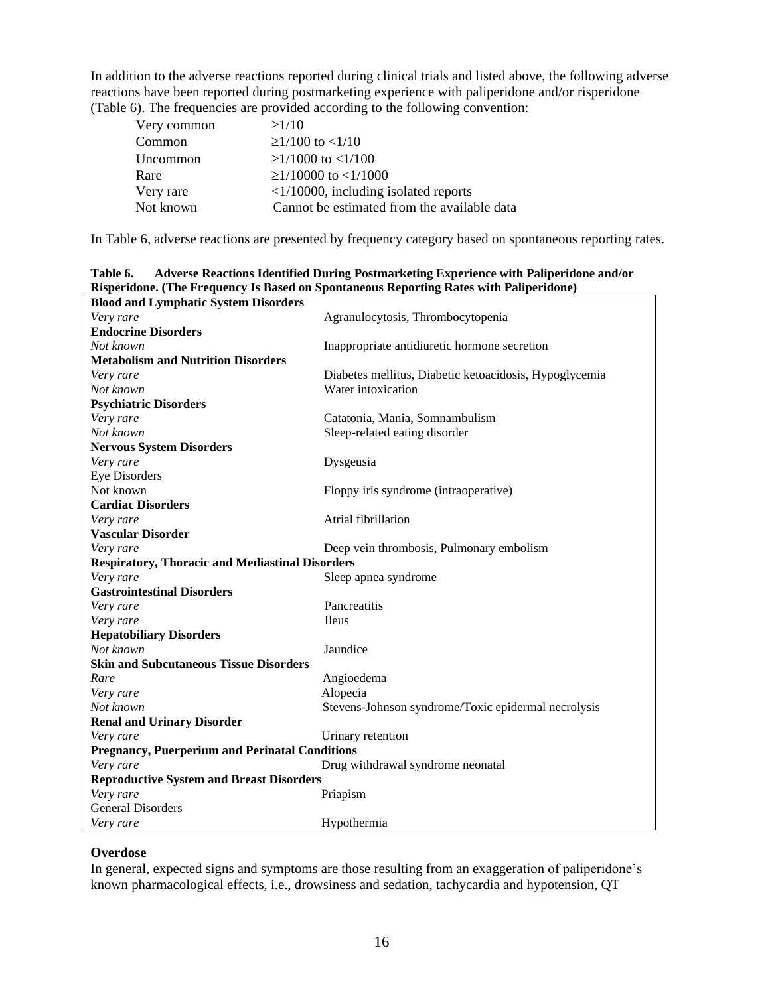In addition to the adverse reactions reported during clinical trials and listed above, the following adverse reactions have been reported during postmarketing experience with paliperidone and/or risperidone (Table 6). The frequencies are provided according to the following convention:

| Very common | $\geq$ 1/10                                   |
|-------------|-----------------------------------------------|
| Common      | $\geq$ 1/100 to <1/10                         |
| Uncommon    | $\geq$ 1/1000 to <1/100                       |
| Rare        | $\geq$ 1/10000 to <1/1000                     |
| Very rare   | $\langle 1/10000,$ including isolated reports |
| Not known   | Cannot be estimated from the available data   |

In Table 6, adverse reactions are presented by frequency category based on spontaneous reporting rates.

|                                                        | raspertavire (The Frequency 15 Dasca on Spontaneous Reporting Rates with Fampertavire) |
|--------------------------------------------------------|----------------------------------------------------------------------------------------|
| <b>Blood and Lymphatic System Disorders</b>            |                                                                                        |
| Very rare                                              | Agranulocytosis, Thrombocytopenia                                                      |
| <b>Endocrine Disorders</b>                             |                                                                                        |
| Not known                                              | Inappropriate antidiuretic hormone secretion                                           |
| <b>Metabolism and Nutrition Disorders</b>              |                                                                                        |
| Very rare                                              | Diabetes mellitus, Diabetic ketoacidosis, Hypoglycemia                                 |
| Not known                                              | Water intoxication                                                                     |
| <b>Psychiatric Disorders</b>                           |                                                                                        |
| Very rare                                              | Catatonia, Mania, Somnambulism                                                         |
| Not known                                              | Sleep-related eating disorder                                                          |
| <b>Nervous System Disorders</b>                        |                                                                                        |
| Very rare                                              | Dysgeusia                                                                              |
| <b>Eye Disorders</b>                                   |                                                                                        |
| Not known                                              | Floppy iris syndrome (intraoperative)                                                  |
| <b>Cardiac Disorders</b>                               |                                                                                        |
| Very rare                                              | Atrial fibrillation                                                                    |
| <b>Vascular Disorder</b>                               |                                                                                        |
| Very rare                                              | Deep vein thrombosis, Pulmonary embolism                                               |
| <b>Respiratory, Thoracic and Mediastinal Disorders</b> |                                                                                        |
| Very rare                                              | Sleep apnea syndrome                                                                   |
| <b>Gastrointestinal Disorders</b>                      |                                                                                        |
| Very rare                                              | Pancreatitis                                                                           |
| Very rare                                              | <b>Ileus</b>                                                                           |
| <b>Hepatobiliary Disorders</b>                         |                                                                                        |
| Not known                                              | Jaundice                                                                               |
| <b>Skin and Subcutaneous Tissue Disorders</b>          |                                                                                        |
| Rare                                                   | Angioedema                                                                             |
| Very rare                                              | Alopecia                                                                               |
| Not known                                              | Stevens-Johnson syndrome/Toxic epidermal necrolysis                                    |
| <b>Renal and Urinary Disorder</b>                      |                                                                                        |
| Very rare                                              | Urinary retention                                                                      |
| <b>Pregnancy, Puerperium and Perinatal Conditions</b>  |                                                                                        |
| Very rare                                              | Drug withdrawal syndrome neonatal                                                      |
| <b>Reproductive System and Breast Disorders</b>        |                                                                                        |
| Very rare                                              | Priapism                                                                               |
| <b>General Disorders</b>                               |                                                                                        |
| Very rare                                              | Hypothermia                                                                            |

**Table 6. Adverse Reactions Identified During Postmarketing Experience with Paliperidone and/or Risperidone. (The Frequency Is Based on Spontaneous Reporting Rates with Paliperidone)**

## **Overdose**

In general, expected signs and symptoms are those resulting from an exaggeration of paliperidone's known pharmacological effects, i.e., drowsiness and sedation, tachycardia and hypotension, QT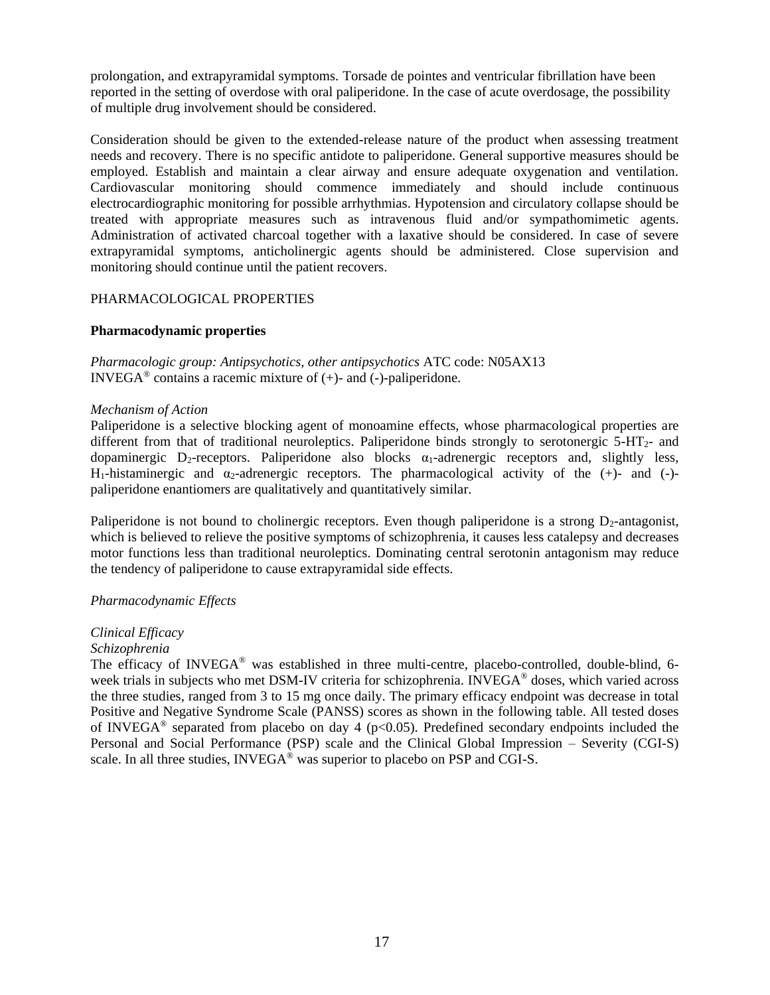prolongation, and extrapyramidal symptoms. Torsade de pointes and ventricular fibrillation have been reported in the setting of overdose with oral paliperidone. In the case of acute overdosage, the possibility of multiple drug involvement should be considered.

Consideration should be given to the extended-release nature of the product when assessing treatment needs and recovery. There is no specific antidote to paliperidone. General supportive measures should be employed. Establish and maintain a clear airway and ensure adequate oxygenation and ventilation. Cardiovascular monitoring should commence immediately and should include continuous electrocardiographic monitoring for possible arrhythmias. Hypotension and circulatory collapse should be treated with appropriate measures such as intravenous fluid and/or sympathomimetic agents. Administration of activated charcoal together with a laxative should be considered. In case of severe extrapyramidal symptoms, anticholinergic agents should be administered. Close supervision and monitoring should continue until the patient recovers.

## PHARMACOLOGICAL PROPERTIES

## **Pharmacodynamic properties**

*Pharmacologic group: Antipsychotics, other antipsychotics* ATC code: N05AX13 INVEGA<sup>®</sup> contains a racemic mixture of  $(+)$ - and  $(-)$ -paliperidone.

## *Mechanism of Action*

Paliperidone is a selective blocking agent of monoamine effects, whose pharmacological properties are different from that of traditional neuroleptics. Paliperidone binds strongly to serotonergic 5-HT2- and dopaminergic D<sub>2</sub>-receptors. Paliperidone also blocks  $\alpha_1$ -adrenergic receptors and, slightly less, H<sub>1</sub>-histaminergic and  $\alpha_2$ -adrenergic receptors. The pharmacological activity of the  $(+)$ - and  $(-)$ paliperidone enantiomers are qualitatively and quantitatively similar.

Paliperidone is not bound to cholinergic receptors. Even though paliperidone is a strong  $D_2$ -antagonist, which is believed to relieve the positive symptoms of schizophrenia, it causes less catalepsy and decreases motor functions less than traditional neuroleptics. Dominating central serotonin antagonism may reduce the tendency of paliperidone to cause extrapyramidal side effects.

# *Pharmacodynamic Effects*

# *Clinical Efficacy*

## *Schizophrenia*

The efficacy of INVEGA® was established in three multi-centre, placebo-controlled, double-blind, 6 week trials in subjects who met DSM-IV criteria for schizophrenia. INVEGA<sup>®</sup> doses, which varied across the three studies, ranged from 3 to 15 mg once daily. The primary efficacy endpoint was decrease in total Positive and Negative Syndrome Scale (PANSS) scores as shown in the following table. All tested doses of INVEGA<sup>®</sup> separated from placebo on day 4 ( $p$ <0.05). Predefined secondary endpoints included the Personal and Social Performance (PSP) scale and the Clinical Global Impression – Severity (CGI-S) scale. In all three studies, INVEGA<sup>®</sup> was superior to placebo on PSP and CGI-S.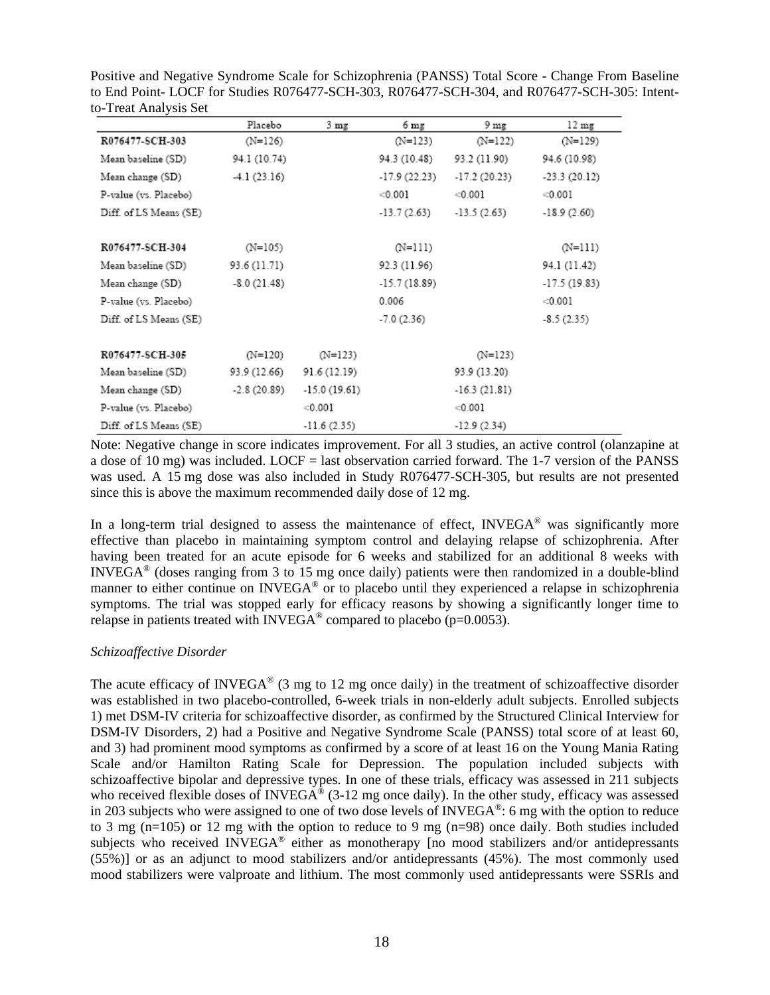|                        | Placebo       | $3 \text{ mg}$ | 6 mg           | 9 mg           | $12 \text{ mg}$ |
|------------------------|---------------|----------------|----------------|----------------|-----------------|
| R076477-SCH-303        | $(N=126)$     |                | $(N=123)$      | $(N=122)$      | $(N=129)$       |
| Mean baseline (SD)     | 94.1 (10.74)  |                | 94.3 (10.48)   | 93.2 (11.90)   | 94.6 (10.98)    |
| Mean change (SD)       | $-4.1(23.16)$ |                | $-17.9(22.23)$ | $-17.2(20.23)$ | $-23.3(20.12)$  |
| P-value (vs. Placebo)  |               |                | < 0.001        | < 0.001        | < 0.001         |
| Diff. of LS Means (SE) |               |                | $-13.7(2.63)$  | $-13.5(2.63)$  | $-18.9(2.60)$   |
| R076477-SCH-304        | $(N=105)$     |                | (N=111)        |                | (N=111)         |
| Mean baseline (SD)     | 93.6 (11.71)  |                | 92.3 (11.96)   |                | 94.1 (11.42)    |
| Mean change (SD)       | $-8.0(21.48)$ |                | $-15.7(18.89)$ |                | $-17.5(19.83)$  |
| P-value (vs. Placebo)  |               |                | 0.006          |                | < 0.001         |
| Diff. of LS Means (SE) |               |                | $-7.0(2.36)$   |                | $-8.5(2.35)$    |

 $(N=123)$ 

91.6 (12.19)

 $-15.0(19.61)$ 

 $-11.6(2.35)$ 

 $< 0.001$ 

Positive and Negative Syndrome Scale for Schizophrenia (PANSS) Total Score - Change From Baseline to End Point- LOCF for Studies R076477-SCH-303, R076477-SCH-304, and R076477-SCH-305: Intent-

Note: Negative change in score indicates improvement. For all 3 studies, an active control (olanzapine at a dose of 10 mg) was included. LOCF = last observation carried forward. The 1-7 version of the PANSS was used. A 15 mg dose was also included in Study R076477-SCH-305, but results are not presented since this is above the maximum recommended daily dose of 12 mg.

 $(N=123)$ 

93.9 (13.20)

 $-16.3(21.81)$ 

 $-12.9(2.34)$ 

 $< 0.001$ 

In a long-term trial designed to assess the maintenance of effect, INVEGA® was significantly more effective than placebo in maintaining symptom control and delaying relapse of schizophrenia. After having been treated for an acute episode for 6 weeks and stabilized for an additional 8 weeks with INVEGA® (doses ranging from 3 to 15 mg once daily) patients were then randomized in a double-blind manner to either continue on INVEGA<sup>®</sup> or to placebo until they experienced a relapse in schizophrenia symptoms. The trial was stopped early for efficacy reasons by showing a significantly longer time to relapse in patients treated with INVEGA<sup>®</sup> compared to placebo ( $p=0.0053$ ).

# *Schizoaffective Disorder*

R076477-SCH-305

Mean baseline (SD)

Mean change (SD)

P-value (vs. Placebo)

Diff. of LS Means (SE)

 $(N=120)$ 

93.9 (12.66)

 $-2.8(20.89)$ 

The acute efficacy of INVEGA<sup>®</sup> (3 mg to 12 mg once daily) in the treatment of schizoaffective disorder was established in two placebo-controlled, 6-week trials in non-elderly adult subjects. Enrolled subjects 1) met DSM-IV criteria for schizoaffective disorder, as confirmed by the Structured Clinical Interview for DSM-IV Disorders, 2) had a Positive and Negative Syndrome Scale (PANSS) total score of at least 60, and 3) had prominent mood symptoms as confirmed by a score of at least 16 on the Young Mania Rating Scale and/or Hamilton Rating Scale for Depression. The population included subjects with schizoaffective bipolar and depressive types. In one of these trials, efficacy was assessed in 211 subjects who received flexible doses of INVEGA<sup>®</sup> (3-12 mg once daily). In the other study, efficacy was assessed in 203 subjects who were assigned to one of two dose levels of  $INVEGA^{\circledast}$ : 6 mg with the option to reduce to 3 mg (n=105) or 12 mg with the option to reduce to 9 mg (n=98) once daily. Both studies included subjects who received INVEGA® either as monotherapy [no mood stabilizers and/or antidepressants (55%)] or as an adjunct to mood stabilizers and/or antidepressants (45%). The most commonly used mood stabilizers were valproate and lithium. The most commonly used antidepressants were SSRIs and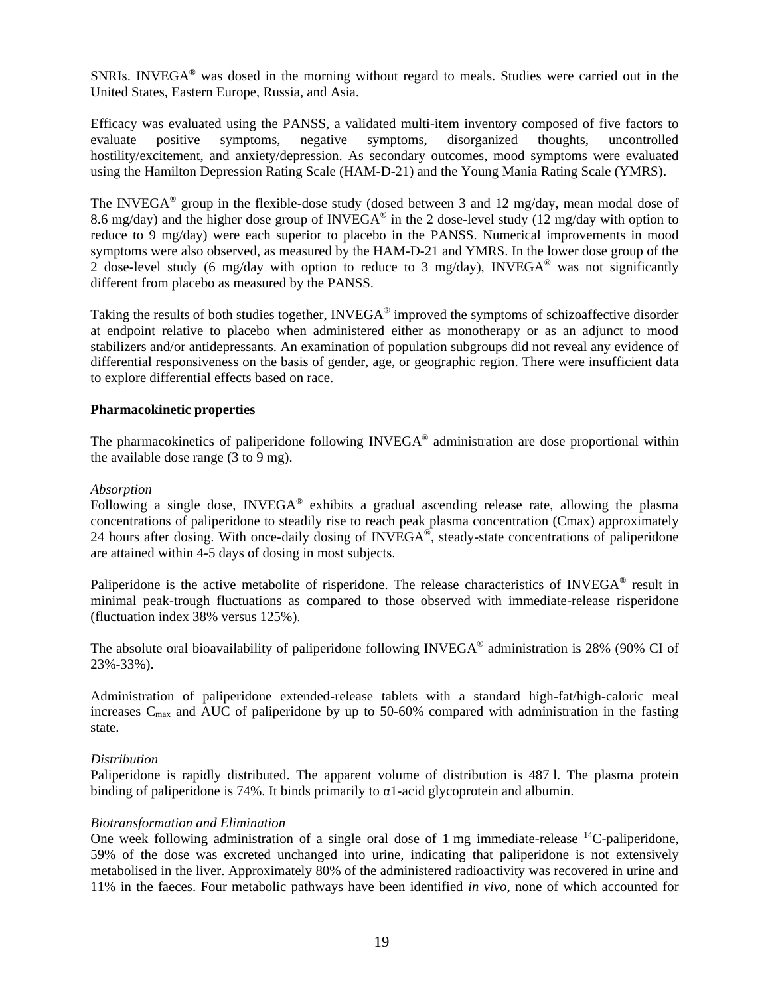SNRIs. INVEGA® was dosed in the morning without regard to meals. Studies were carried out in the United States, Eastern Europe, Russia, and Asia.

Efficacy was evaluated using the PANSS, a validated multi-item inventory composed of five factors to evaluate positive symptoms, negative symptoms, disorganized thoughts, uncontrolled hostility/excitement, and anxiety/depression. As secondary outcomes, mood symptoms were evaluated using the Hamilton Depression Rating Scale (HAM-D-21) and the Young Mania Rating Scale (YMRS).

The INVEGA<sup>®</sup> group in the flexible-dose study (dosed between 3 and 12 mg/day, mean modal dose of 8.6 mg/day) and the higher dose group of INVEGA<sup>®</sup> in the 2 dose-level study (12 mg/day with option to reduce to 9 mg/day) were each superior to placebo in the PANSS. Numerical improvements in mood symptoms were also observed, as measured by the HAM-D-21 and YMRS. In the lower dose group of the 2 dose-level study (6 mg/day with option to reduce to 3 mg/day), INVEGA<sup>®</sup> was not significantly different from placebo as measured by the PANSS.

Taking the results of both studies together, INVEGA® improved the symptoms of schizoaffective disorder at endpoint relative to placebo when administered either as monotherapy or as an adjunct to mood stabilizers and/or antidepressants. An examination of population subgroups did not reveal any evidence of differential responsiveness on the basis of gender, age, or geographic region. There were insufficient data to explore differential effects based on race.

## **Pharmacokinetic properties**

The pharmacokinetics of paliperidone following INVEGA<sup>®</sup> administration are dose proportional within the available dose range (3 to 9 mg).

## *Absorption*

Following a single dose, INVEGA<sup>®</sup> exhibits a gradual ascending release rate, allowing the plasma concentrations of paliperidone to steadily rise to reach peak plasma concentration (Cmax) approximately 24 hours after dosing. With once-daily dosing of INVEGA<sup>®</sup>, steady-state concentrations of paliperidone are attained within 4-5 days of dosing in most subjects.

Paliperidone is the active metabolite of risperidone. The release characteristics of INVEGA<sup>®</sup> result in minimal peak-trough fluctuations as compared to those observed with immediate-release risperidone (fluctuation index 38% versus 125%).

The absolute oral bioavailability of paliperidone following INVEGA<sup>®</sup> administration is 28% (90% CI of 23%-33%).

Administration of paliperidone extended-release tablets with a standard high-fat/high-caloric meal increases C<sub>max</sub> and AUC of paliperidone by up to 50-60% compared with administration in the fasting state.

## *Distribution*

Paliperidone is rapidly distributed. The apparent volume of distribution is 487 l. The plasma protein binding of paliperidone is 74%. It binds primarily to  $\alpha$ 1-acid glycoprotein and albumin.

## *Biotransformation and Elimination*

One week following administration of a single oral dose of 1 mg immediate-release  $^{14}$ C-paliperidone, 59% of the dose was excreted unchanged into urine, indicating that paliperidone is not extensively metabolised in the liver. Approximately 80% of the administered radioactivity was recovered in urine and 11% in the faeces. Four metabolic pathways have been identified *in vivo*, none of which accounted for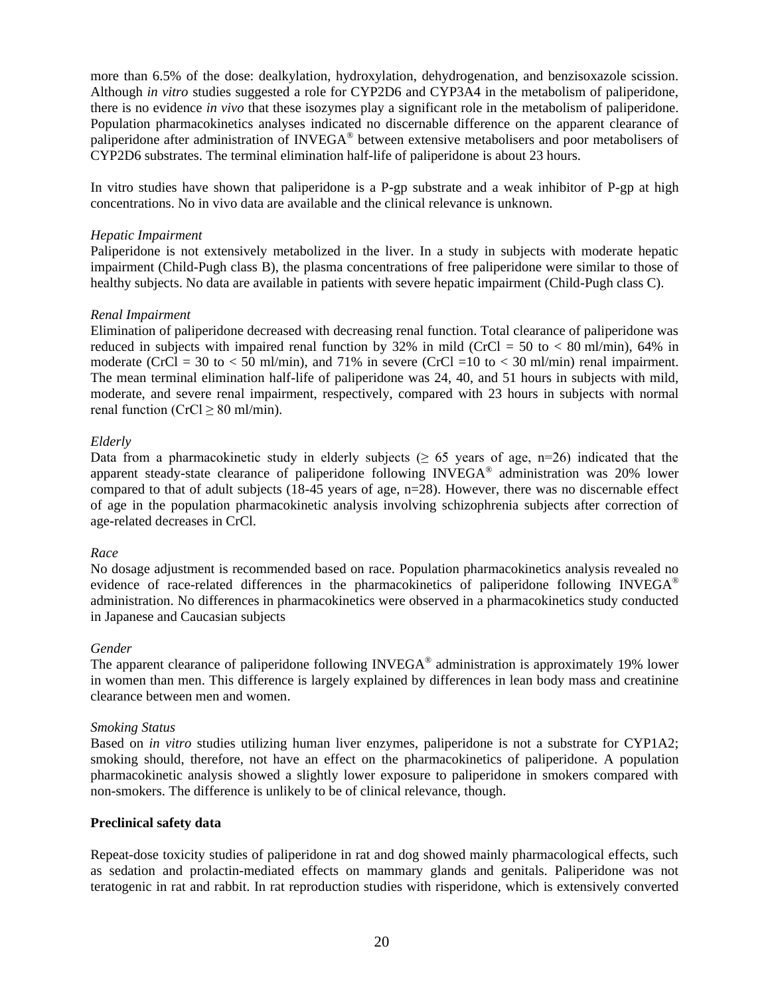more than 6.5% of the dose: dealkylation, hydroxylation, dehydrogenation, and benzisoxazole scission. Although *in vitro* studies suggested a role for CYP2D6 and CYP3A4 in the metabolism of paliperidone, there is no evidence *in vivo* that these isozymes play a significant role in the metabolism of paliperidone. Population pharmacokinetics analyses indicated no discernable difference on the apparent clearance of paliperidone after administration of INVEGA® between extensive metabolisers and poor metabolisers of CYP2D6 substrates. The terminal elimination half-life of paliperidone is about 23 hours.

In vitro studies have shown that paliperidone is a P-gp substrate and a weak inhibitor of P-gp at high concentrations. No in vivo data are available and the clinical relevance is unknown.

## *Hepatic Impairment*

Paliperidone is not extensively metabolized in the liver. In a study in subjects with moderate hepatic impairment (Child-Pugh class B), the plasma concentrations of free paliperidone were similar to those of healthy subjects. No data are available in patients with severe hepatic impairment (Child-Pugh class C).

## *Renal Impairment*

Elimination of paliperidone decreased with decreasing renal function. Total clearance of paliperidone was reduced in subjects with impaired renal function by 32% in mild (CrCl = 50 to  $< 80$  ml/min), 64% in moderate (CrCl = 30 to  $<$  50 ml/min), and 71% in severe (CrCl = 10 to  $<$  30 ml/min) renal impairment. The mean terminal elimination half-life of paliperidone was 24, 40, and 51 hours in subjects with mild, moderate, and severe renal impairment, respectively, compared with 23 hours in subjects with normal renal function (CrCl  $\geq$  80 ml/min).

## *Elderly*

Data from a pharmacokinetic study in elderly subjects ( $\geq 65$  years of age, n=26) indicated that the apparent steady-state clearance of paliperidone following INVEGA® administration was 20% lower compared to that of adult subjects (18-45 years of age, n=28). However, there was no discernable effect of age in the population pharmacokinetic analysis involving schizophrenia subjects after correction of age-related decreases in CrCl.

# *Race*

No dosage adjustment is recommended based on race. Population pharmacokinetics analysis revealed no evidence of race-related differences in the pharmacokinetics of paliperidone following INVEGA<sup>®</sup> administration. No differences in pharmacokinetics were observed in a pharmacokinetics study conducted in Japanese and Caucasian subjects

# *Gender*

The apparent clearance of paliperidone following INVEGA<sup>®</sup> administration is approximately 19% lower in women than men. This difference is largely explained by differences in lean body mass and creatinine clearance between men and women.

## *Smoking Status*

Based on *in vitro* studies utilizing human liver enzymes, paliperidone is not a substrate for CYP1A2; smoking should, therefore, not have an effect on the pharmacokinetics of paliperidone. A population pharmacokinetic analysis showed a slightly lower exposure to paliperidone in smokers compared with non-smokers. The difference is unlikely to be of clinical relevance, though.

# **Preclinical safety data**

Repeat-dose toxicity studies of paliperidone in rat and dog showed mainly pharmacological effects, such as sedation and prolactin-mediated effects on mammary glands and genitals. Paliperidone was not teratogenic in rat and rabbit. In rat reproduction studies with risperidone, which is extensively converted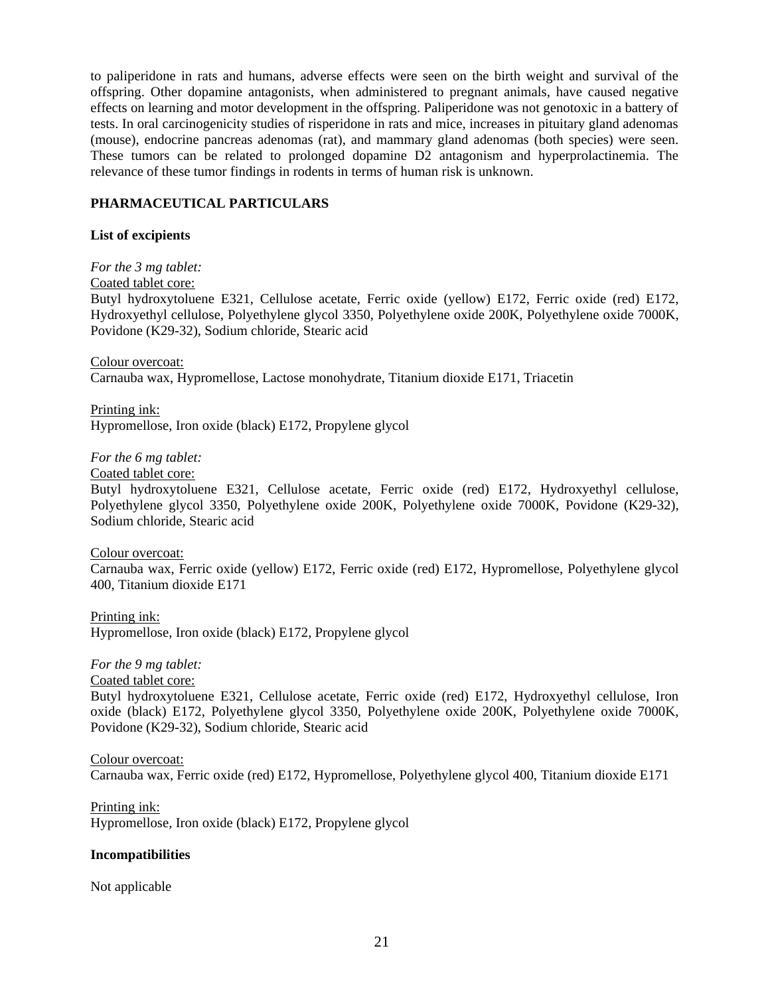to paliperidone in rats and humans, adverse effects were seen on the birth weight and survival of the offspring. Other dopamine antagonists, when administered to pregnant animals, have caused negative effects on learning and motor development in the offspring. Paliperidone was not genotoxic in a battery of tests. In oral carcinogenicity studies of risperidone in rats and mice, increases in pituitary gland adenomas (mouse), endocrine pancreas adenomas (rat), and mammary gland adenomas (both species) were seen. These tumors can be related to prolonged dopamine D2 antagonism and hyperprolactinemia. The relevance of these tumor findings in rodents in terms of human risk is unknown.

# **PHARMACEUTICAL PARTICULARS**

# **List of excipients**

*For the 3 mg tablet:*

Coated tablet core:

Butyl hydroxytoluene E321, Cellulose acetate, Ferric oxide (yellow) E172, Ferric oxide (red) E172, Hydroxyethyl cellulose, Polyethylene glycol 3350, Polyethylene oxide 200K, Polyethylene oxide 7000K, Povidone (K29-32), Sodium chloride, Stearic acid

Colour overcoat: Carnauba wax, Hypromellose, Lactose monohydrate, Titanium dioxide E171, Triacetin

Printing ink: Hypromellose, Iron oxide (black) E172, Propylene glycol

*For the 6 mg tablet:*

Coated tablet core:

Butyl hydroxytoluene E321, Cellulose acetate, Ferric oxide (red) E172, Hydroxyethyl cellulose, Polyethylene glycol 3350, Polyethylene oxide 200K, Polyethylene oxide 7000K, Povidone (K29-32), Sodium chloride, Stearic acid

Colour overcoat: Carnauba wax, Ferric oxide (yellow) E172, Ferric oxide (red) E172, Hypromellose, Polyethylene glycol 400, Titanium dioxide E171

Printing ink: Hypromellose, Iron oxide (black) E172, Propylene glycol

# *For the 9 mg tablet:*

# Coated tablet core:

Butyl hydroxytoluene E321, Cellulose acetate, Ferric oxide (red) E172, Hydroxyethyl cellulose, Iron oxide (black) E172, Polyethylene glycol 3350, Polyethylene oxide 200K, Polyethylene oxide 7000K, Povidone (K29-32), Sodium chloride, Stearic acid

# Colour overcoat:

Carnauba wax, Ferric oxide (red) E172, Hypromellose, Polyethylene glycol 400, Titanium dioxide E171

Printing ink: Hypromellose, Iron oxide (black) E172, Propylene glycol

# **Incompatibilities**

Not applicable